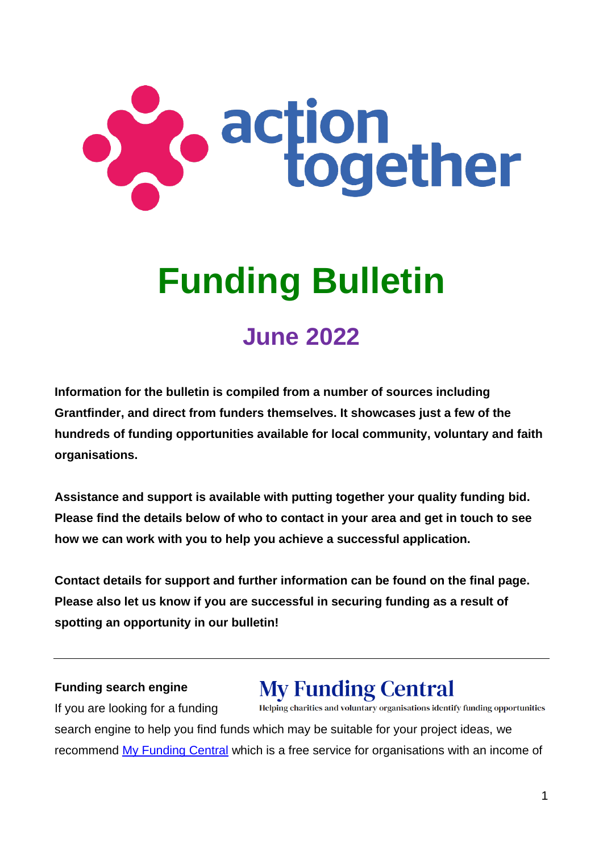

# **Funding Bulletin**

# **June 2022**

**Information for the bulletin is compiled from a number of sources including Grantfinder, and direct from funders themselves. It showcases just a few of the hundreds of funding opportunities available for local community, voluntary and faith organisations.** 

**Assistance and support is available with putting together your quality funding bid. Please find the details below of who to contact in your area and get in touch to see how we can work with you to help you achieve a successful application.**

**Contact details for support and further information can be found on the final page. Please also let us know if you are successful in securing funding as a result of spotting an opportunity in our bulletin!**

#### **Funding search engine**

# **My Funding Central**

If you are looking for a funding Helping charities and voluntary organisations identify funding opportunities search engine to help you find funds which may be suitable for your project ideas, we recommend [My Funding Central](https://www.myfundingcentral.co.uk/) which is a free service for organisations with an income of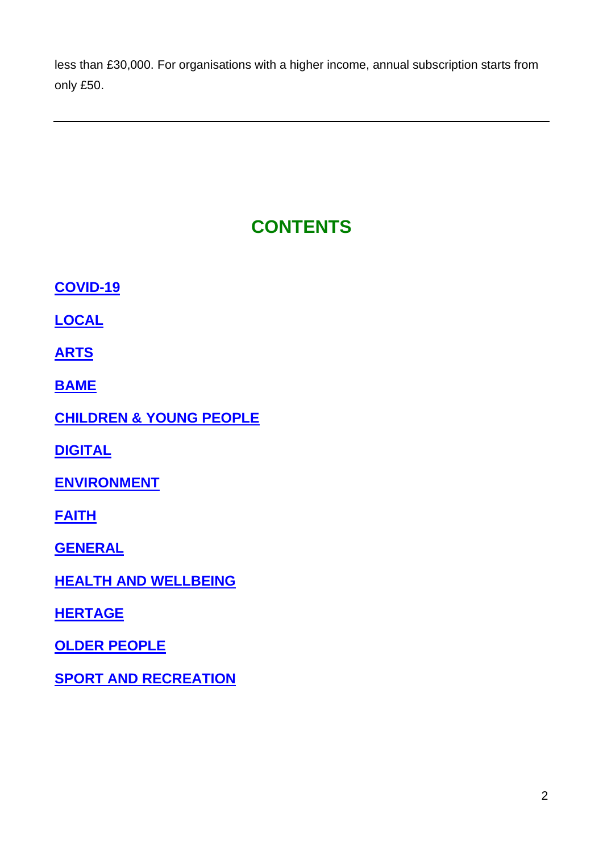less than £30,000. For organisations with a higher income, annual subscription starts from only £50.

## **CONTENTS**

**[COVID-19](#page-2-0)**

**[LOCAL](#page-2-1)**

**ARTS**

**[BAME](#page-15-0)**

**[CHILDREN & YOUNG PEOPLE](#page-15-1)**

**[DIGITAL](#page-22-0)**

**[ENVIRONMENT](#page-23-0)**

**[FAITH](#page-26-0)**

**[GENERAL](#page-30-0)**

**[HEALTH AND WELLBEING](#page-34-0)**

**[HERTAGE](#page-37-0)**

**[OLDER PEOPLE](#page-40-0)**

**[SPORT AND RECREATION](#page-43-0)**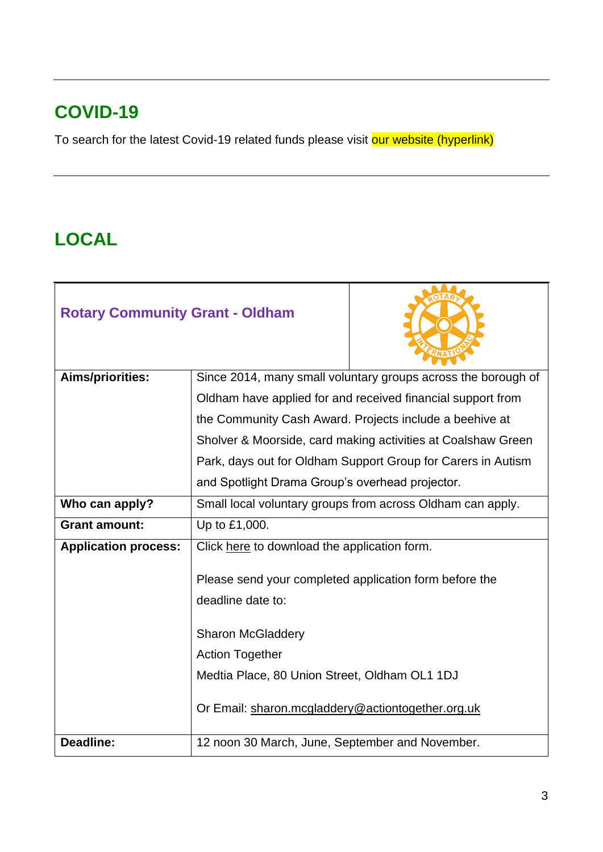## <span id="page-2-0"></span>**COVID-19**

To search for the latest Covid-19 related funds please visit our website (hyperlink)

#### <span id="page-2-1"></span>**LOCAL**

| <b>Rotary Community Grant - Oldham</b> |                                                               |                                                              |
|----------------------------------------|---------------------------------------------------------------|--------------------------------------------------------------|
| Aims/priorities:                       | Since 2014, many small voluntary groups across the borough of |                                                              |
|                                        |                                                               | Oldham have applied for and received financial support from  |
|                                        |                                                               | the Community Cash Award. Projects include a beehive at      |
|                                        |                                                               | Sholver & Moorside, card making activities at Coalshaw Green |
|                                        |                                                               | Park, days out for Oldham Support Group for Carers in Autism |
|                                        | and Spotlight Drama Group's overhead projector.               |                                                              |
| Who can apply?                         | Small local voluntary groups from across Oldham can apply.    |                                                              |
| <b>Grant amount:</b>                   | Up to £1,000.                                                 |                                                              |
| <b>Application process:</b>            | Click here to download the application form.                  |                                                              |
|                                        | Please send your completed application form before the        |                                                              |
|                                        | deadline date to:                                             |                                                              |
|                                        | <b>Sharon McGladdery</b>                                      |                                                              |
|                                        | <b>Action Together</b>                                        |                                                              |
|                                        | Medtia Place, 80 Union Street, Oldham OL1 1DJ                 |                                                              |
|                                        | Or Email: sharon.mcgladdery@actiontogether.org.uk             |                                                              |
| <b>Deadline:</b>                       | 12 noon 30 March, June, September and November.               |                                                              |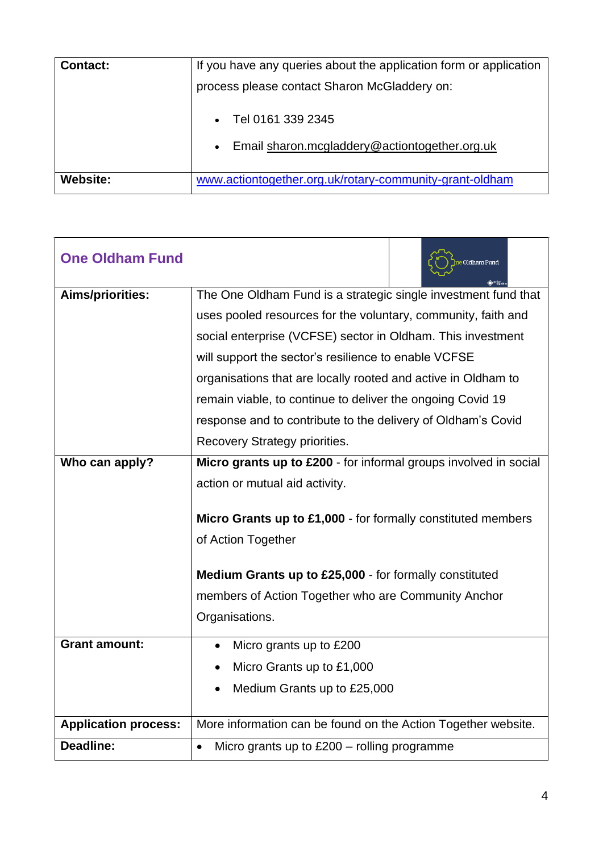| <b>Contact:</b> | If you have any queries about the application form or application<br>process please contact Sharon McGladdery on: |  |
|-----------------|-------------------------------------------------------------------------------------------------------------------|--|
|                 | Tel 0161 339 2345<br>Email sharon.mcgladdery@actiontogether.org.uk<br>$\bullet$                                   |  |
| <b>Website:</b> | www.actiontogether.org.uk/rotary-community-grant-oldham                                                           |  |

| <b>One Oldham Fund</b>      | e Oldham Fund                                                    |
|-----------------------------|------------------------------------------------------------------|
| <b>Aims/priorities:</b>     | The One Oldham Fund is a strategic single investment fund that   |
|                             | uses pooled resources for the voluntary, community, faith and    |
|                             | social enterprise (VCFSE) sector in Oldham. This investment      |
|                             | will support the sector's resilience to enable VCFSE             |
|                             | organisations that are locally rooted and active in Oldham to    |
|                             | remain viable, to continue to deliver the ongoing Covid 19       |
|                             | response and to contribute to the delivery of Oldham's Covid     |
|                             | Recovery Strategy priorities.                                    |
| Who can apply?              | Micro grants up to £200 - for informal groups involved in social |
|                             | action or mutual aid activity.                                   |
|                             |                                                                  |
|                             | Micro Grants up to £1,000 - for formally constituted members     |
|                             | of Action Together                                               |
|                             | Medium Grants up to £25,000 - for formally constituted           |
|                             | members of Action Together who are Community Anchor              |
|                             | Organisations.                                                   |
| <b>Grant amount:</b>        | Micro grants up to £200<br>$\bullet$                             |
|                             | Micro Grants up to £1,000                                        |
|                             | Medium Grants up to £25,000                                      |
|                             |                                                                  |
| <b>Application process:</b> | More information can be found on the Action Together website.    |
| <b>Deadline:</b>            | Micro grants up to $£200 -$ rolling programme<br>$\bullet$       |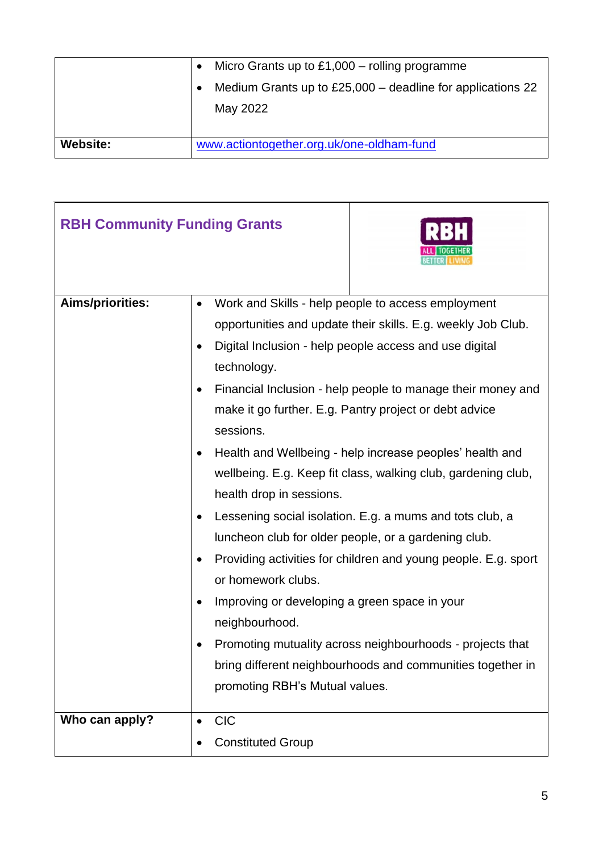|                 | Micro Grants up to $£1,000 -$ rolling programme<br>$\bullet$             |
|-----------------|--------------------------------------------------------------------------|
|                 | Medium Grants up to $£25,000$ – deadline for applications 22<br>May 2022 |
| <b>Website:</b> | www.actiontogether.org.uk/one-oldham-fund                                |

| <b>RBH Community Funding Grants</b> |                                                                                                                                                                                                                        |                                                                                                                                                                                                                                                                                                                                                                                                                                                                                                                                                                                                                                                                                                                                                     |
|-------------------------------------|------------------------------------------------------------------------------------------------------------------------------------------------------------------------------------------------------------------------|-----------------------------------------------------------------------------------------------------------------------------------------------------------------------------------------------------------------------------------------------------------------------------------------------------------------------------------------------------------------------------------------------------------------------------------------------------------------------------------------------------------------------------------------------------------------------------------------------------------------------------------------------------------------------------------------------------------------------------------------------------|
| Aims/priorities:                    | $\bullet$<br>technology.<br>sessions.<br>health drop in sessions.<br>$\bullet$<br>or homework clubs.<br>Improving or developing a green space in your<br>$\bullet$<br>neighbourhood.<br>promoting RBH's Mutual values. | Work and Skills - help people to access employment<br>opportunities and update their skills. E.g. weekly Job Club.<br>Digital Inclusion - help people access and use digital<br>Financial Inclusion - help people to manage their money and<br>make it go further. E.g. Pantry project or debt advice<br>Health and Wellbeing - help increase peoples' health and<br>wellbeing. E.g. Keep fit class, walking club, gardening club,<br>Lessening social isolation. E.g. a mums and tots club, a<br>luncheon club for older people, or a gardening club.<br>Providing activities for children and young people. E.g. sport<br>Promoting mutuality across neighbourhoods - projects that<br>bring different neighbourhoods and communities together in |
| Who can apply?                      | <b>CIC</b><br><b>Constituted Group</b>                                                                                                                                                                                 |                                                                                                                                                                                                                                                                                                                                                                                                                                                                                                                                                                                                                                                                                                                                                     |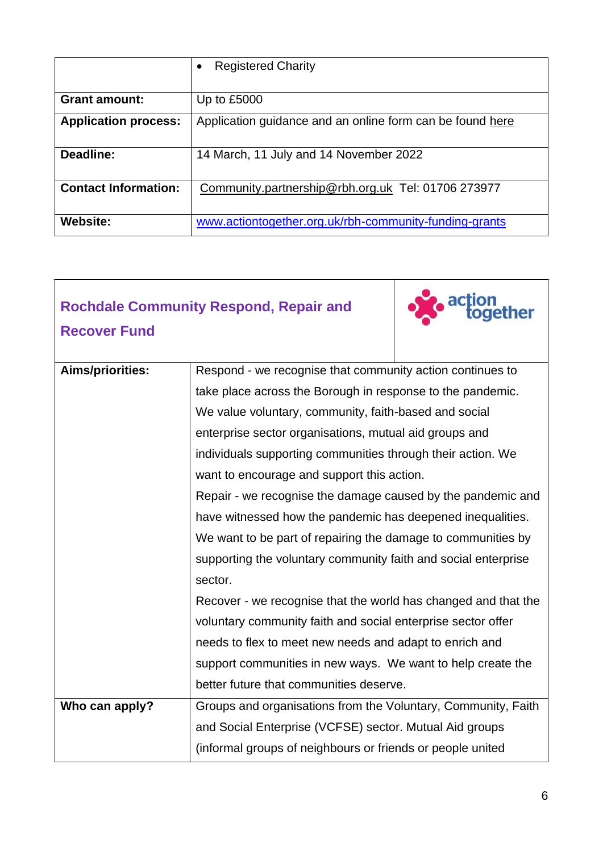|                             | <b>Registered Charity</b>                                 |
|-----------------------------|-----------------------------------------------------------|
|                             |                                                           |
| <b>Grant amount:</b>        | Up to £5000                                               |
| <b>Application process:</b> | Application guidance and an online form can be found here |
| Deadline:                   | 14 March, 11 July and 14 November 2022                    |
| <b>Contact Information:</b> | Community.partnership@rbh.org.uk Tel: 01706 273977        |
| <b>Website:</b>             | www.actiontogether.org.uk/rbh-community-funding-grants    |

|                     | <b>Rochdale Community Respond, Repair and</b>                  | ether |
|---------------------|----------------------------------------------------------------|-------|
| <b>Recover Fund</b> |                                                                |       |
| Aims/priorities:    | Respond - we recognise that community action continues to      |       |
|                     | take place across the Borough in response to the pandemic.     |       |
|                     | We value voluntary, community, faith-based and social          |       |
|                     | enterprise sector organisations, mutual aid groups and         |       |
|                     | individuals supporting communities through their action. We    |       |
|                     | want to encourage and support this action.                     |       |
|                     | Repair - we recognise the damage caused by the pandemic and    |       |
|                     | have witnessed how the pandemic has deepened inequalities.     |       |
|                     | We want to be part of repairing the damage to communities by   |       |
|                     | supporting the voluntary community faith and social enterprise |       |
|                     | sector.                                                        |       |
|                     | Recover - we recognise that the world has changed and that the |       |
|                     | voluntary community faith and social enterprise sector offer   |       |
|                     | needs to flex to meet new needs and adapt to enrich and        |       |
|                     | support communities in new ways. We want to help create the    |       |
|                     | better future that communities deserve.                        |       |
| Who can apply?      | Groups and organisations from the Voluntary, Community, Faith  |       |
|                     | and Social Enterprise (VCFSE) sector. Mutual Aid groups        |       |
|                     | (informal groups of neighbours or friends or people united     |       |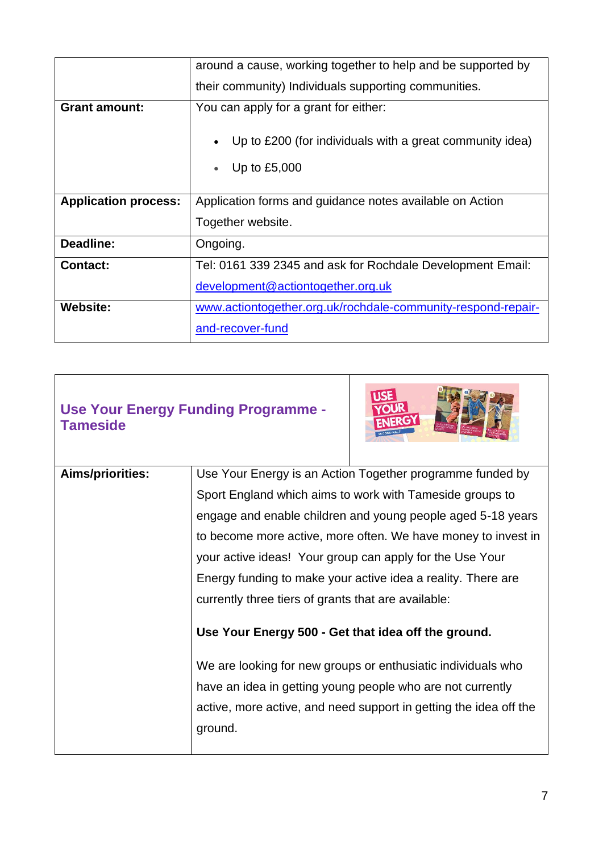|                             | around a cause, working together to help and be supported by               |
|-----------------------------|----------------------------------------------------------------------------|
|                             | their community) Individuals supporting communities.                       |
| <b>Grant amount:</b>        | You can apply for a grant for either:                                      |
|                             | Up to £200 (for individuals with a great community idea)<br>Up to $£5,000$ |
| <b>Application process:</b> | Application forms and guidance notes available on Action                   |
|                             | Together website.                                                          |
| Deadline:                   | Ongoing.                                                                   |
| <b>Contact:</b>             | Tel: 0161 339 2345 and ask for Rochdale Development Email:                 |
|                             | development@actiontogether.org.uk                                          |
| <b>Website:</b>             | www.actiontogether.org.uk/rochdale-community-respond-repair-               |
|                             | and-recover-fund                                                           |

| Use Your Energy Funding Programme -<br><b>Tameside</b> |  | <b>USE</b><br>YOUR<br><b>ENERGY</b><br>SECOND HALF        |
|--------------------------------------------------------|--|-----------------------------------------------------------|
| Aims/priorities:                                       |  | Use Your Energy is an Action Together programme funded by |

| <b>AIMS/priorities:</b> | Use Your Energy is an Action Together programme funded by         |
|-------------------------|-------------------------------------------------------------------|
|                         | Sport England which aims to work with Tameside groups to          |
|                         | engage and enable children and young people aged 5-18 years       |
|                         | to become more active, more often. We have money to invest in     |
|                         | your active ideas! Your group can apply for the Use Your          |
|                         | Energy funding to make your active idea a reality. There are      |
|                         | currently three tiers of grants that are available:               |
|                         |                                                                   |
|                         | Use Your Energy 500 - Get that idea off the ground.               |
|                         | We are looking for new groups or enthusiatic individuals who      |
|                         | have an idea in getting young people who are not currently        |
|                         | active, more active, and need support in getting the idea off the |
|                         | ground.                                                           |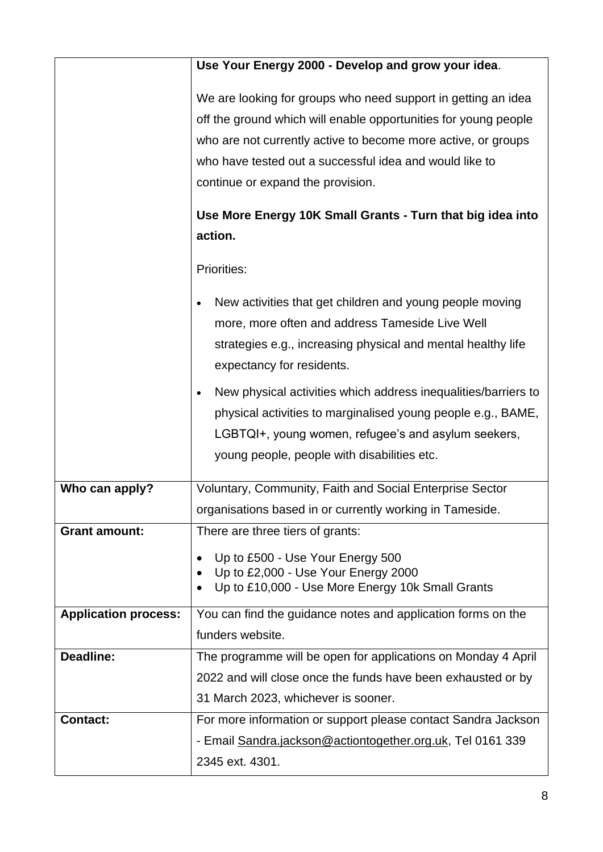|                             | Use Your Energy 2000 - Develop and grow your idea.                                                                                                                                                                                                                                                                                                                         |
|-----------------------------|----------------------------------------------------------------------------------------------------------------------------------------------------------------------------------------------------------------------------------------------------------------------------------------------------------------------------------------------------------------------------|
|                             | We are looking for groups who need support in getting an idea<br>off the ground which will enable opportunities for young people<br>who are not currently active to become more active, or groups<br>who have tested out a successful idea and would like to<br>continue or expand the provision.<br>Use More Energy 10K Small Grants - Turn that big idea into<br>action. |
|                             | Priorities:<br>New activities that get children and young people moving<br>more, more often and address Tameside Live Well<br>strategies e.g., increasing physical and mental healthy life<br>expectancy for residents.                                                                                                                                                    |
|                             | New physical activities which address inequalities/barriers to<br>physical activities to marginalised young people e.g., BAME,<br>LGBTQI+, young women, refugee's and asylum seekers,<br>young people, people with disabilities etc.                                                                                                                                       |
| Who can apply?              | Voluntary, Community, Faith and Social Enterprise Sector<br>organisations based in or currently working in Tameside.                                                                                                                                                                                                                                                       |
| <b>Grant amount:</b>        | There are three tiers of grants:<br>Up to £500 - Use Your Energy 500<br>Up to £2,000 - Use Your Energy 2000<br>Up to £10,000 - Use More Energy 10k Small Grants                                                                                                                                                                                                            |
| <b>Application process:</b> | You can find the guidance notes and application forms on the<br>funders website.                                                                                                                                                                                                                                                                                           |
| Deadline:                   | The programme will be open for applications on Monday 4 April<br>2022 and will close once the funds have been exhausted or by<br>31 March 2023, whichever is sooner.                                                                                                                                                                                                       |
| <b>Contact:</b>             | For more information or support please contact Sandra Jackson<br>- Email Sandra.jackson@actiontogether.org.uk, Tel 0161 339<br>2345 ext. 4301.                                                                                                                                                                                                                             |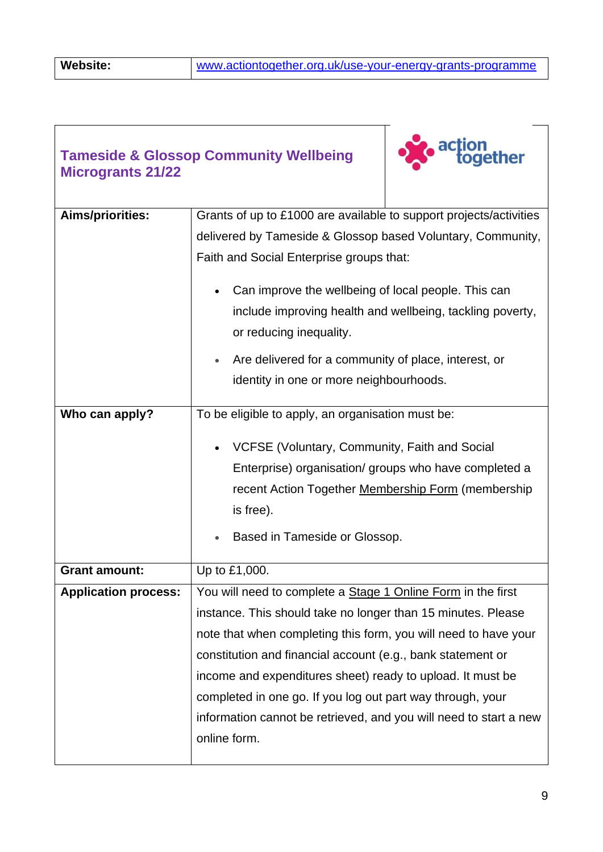#### **Tameside & Glossop Community Wellbeing Microgrants 21/22**



| Aims/priorities:            | Grants of up to £1000 are available to support projects/activities |
|-----------------------------|--------------------------------------------------------------------|
|                             | delivered by Tameside & Glossop based Voluntary, Community,        |
|                             |                                                                    |
|                             | Faith and Social Enterprise groups that:                           |
|                             | Can improve the wellbeing of local people. This can                |
|                             | include improving health and wellbeing, tackling poverty,          |
|                             | or reducing inequality.                                            |
|                             | Are delivered for a community of place, interest, or               |
|                             | identity in one or more neighbourhoods.                            |
| Who can apply?              | To be eligible to apply, an organisation must be:                  |
|                             |                                                                    |
|                             | VCFSE (Voluntary, Community, Faith and Social                      |
|                             | Enterprise) organisation/ groups who have completed a              |
|                             | recent Action Together Membership Form (membership                 |
|                             | is free).                                                          |
|                             | Based in Tameside or Glossop.                                      |
|                             |                                                                    |
| <b>Grant amount:</b>        | Up to £1,000.                                                      |
| <b>Application process:</b> | You will need to complete a Stage 1 Online Form in the first       |
|                             | instance. This should take no longer than 15 minutes. Please       |
|                             | note that when completing this form, you will need to have your    |
|                             | constitution and financial account (e.g., bank statement or        |
|                             | income and expenditures sheet) ready to upload. It must be         |
|                             | completed in one go. If you log out part way through, your         |
|                             | information cannot be retrieved, and you will need to start a new  |
|                             | online form.                                                       |
|                             |                                                                    |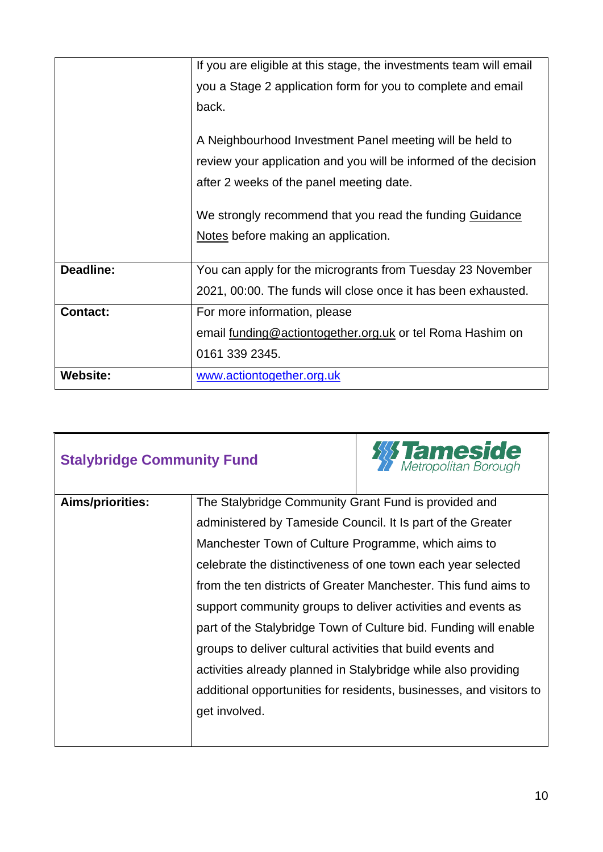|                 | If you are eligible at this stage, the investments team will email |
|-----------------|--------------------------------------------------------------------|
|                 | you a Stage 2 application form for you to complete and email       |
|                 | back.                                                              |
|                 | A Neighbourhood Investment Panel meeting will be held to           |
|                 | review your application and you will be informed of the decision   |
|                 | after 2 weeks of the panel meeting date.                           |
|                 |                                                                    |
|                 | We strongly recommend that you read the funding Guidance           |
|                 | Notes before making an application.                                |
|                 |                                                                    |
| Deadline:       | You can apply for the microgrants from Tuesday 23 November         |
|                 | 2021, 00:00. The funds will close once it has been exhausted.      |
| <b>Contact:</b> | For more information, please                                       |
|                 | email funding@actiontogether.org.uk or tel Roma Hashim on          |
|                 | 0161 339 2345.                                                     |
| <b>Website:</b> | www.actiontogether.org.uk                                          |

| <b>Stalybridge Community Fund</b> |                                                             | <b>111 Tameside</b>                                                 |
|-----------------------------------|-------------------------------------------------------------|---------------------------------------------------------------------|
| Aims/priorities:                  | The Stalybridge Community Grant Fund is provided and        |                                                                     |
|                                   | administered by Tameside Council. It Is part of the Greater |                                                                     |
|                                   | Manchester Town of Culture Programme, which aims to         |                                                                     |
|                                   |                                                             | celebrate the distinctiveness of one town each year selected        |
|                                   |                                                             | from the ten districts of Greater Manchester. This fund aims to     |
|                                   |                                                             | support community groups to deliver activities and events as        |
|                                   |                                                             | part of the Stalybridge Town of Culture bid. Funding will enable    |
|                                   | groups to deliver cultural activities that build events and |                                                                     |
|                                   |                                                             | activities already planned in Stalybridge while also providing      |
|                                   |                                                             | additional opportunities for residents, businesses, and visitors to |
|                                   | get involved.                                               |                                                                     |
|                                   |                                                             |                                                                     |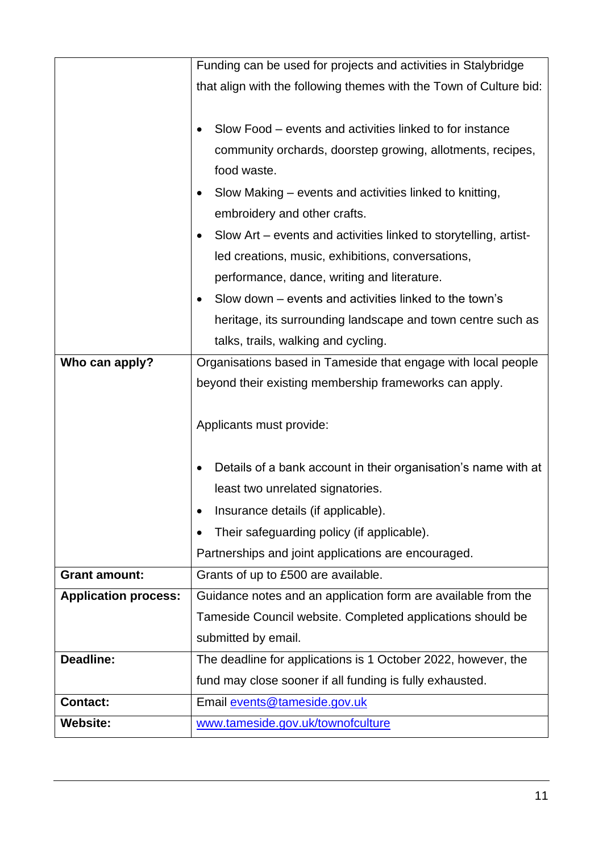|                             | Funding can be used for projects and activities in Stalybridge     |
|-----------------------------|--------------------------------------------------------------------|
|                             | that align with the following themes with the Town of Culture bid: |
|                             |                                                                    |
|                             | Slow Food – events and activities linked to for instance           |
|                             | community orchards, doorstep growing, allotments, recipes,         |
|                             | food waste.                                                        |
|                             | Slow Making – events and activities linked to knitting,            |
|                             | embroidery and other crafts.                                       |
|                             | Slow Art – events and activities linked to storytelling, artist-   |
|                             | led creations, music, exhibitions, conversations,                  |
|                             | performance, dance, writing and literature.                        |
|                             | Slow down – events and activities linked to the town's             |
|                             | heritage, its surrounding landscape and town centre such as        |
|                             | talks, trails, walking and cycling.                                |
| Who can apply?              | Organisations based in Tameside that engage with local people      |
|                             | beyond their existing membership frameworks can apply.             |
|                             |                                                                    |
|                             | Applicants must provide:                                           |
|                             |                                                                    |
|                             | Details of a bank account in their organisation's name with at     |
|                             | least two unrelated signatories.                                   |
|                             | Insurance details (if applicable).                                 |
|                             | Their safeguarding policy (if applicable).                         |
|                             | Partnerships and joint applications are encouraged.                |
| <b>Grant amount:</b>        | Grants of up to £500 are available.                                |
| <b>Application process:</b> | Guidance notes and an application form are available from the      |
|                             | Tameside Council website. Completed applications should be         |
|                             | submitted by email.                                                |
| Deadline:                   |                                                                    |
|                             | The deadline for applications is 1 October 2022, however, the      |
|                             | fund may close sooner if all funding is fully exhausted.           |
| <b>Contact:</b>             | Email events@tameside.gov.uk                                       |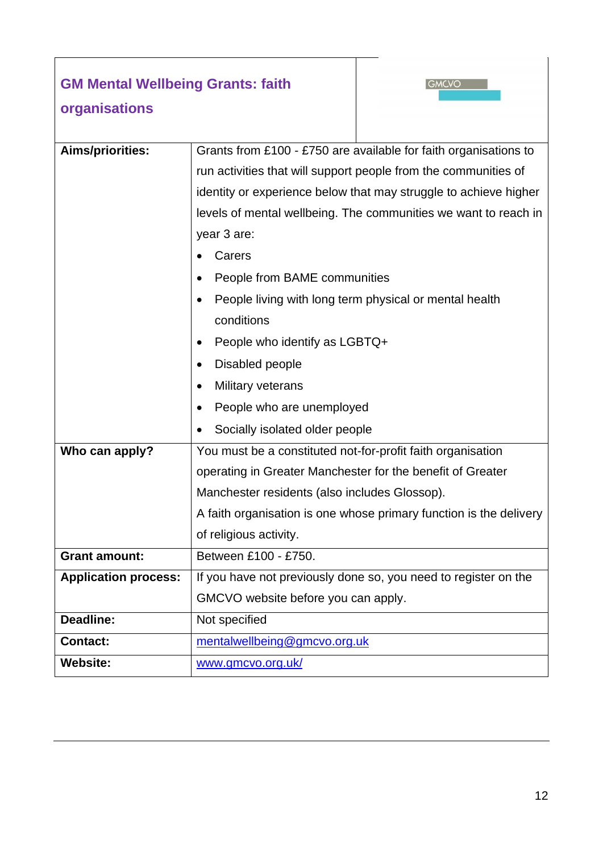#### **GM Mental Wellbeing Grants: faith**



### **organisations**

| Aims/priorities:            | Grants from £100 - £750 are available for faith organisations to   |  |
|-----------------------------|--------------------------------------------------------------------|--|
|                             | run activities that will support people from the communities of    |  |
|                             | identity or experience below that may struggle to achieve higher   |  |
|                             | levels of mental wellbeing. The communities we want to reach in    |  |
|                             | year 3 are:                                                        |  |
|                             | Carers                                                             |  |
|                             | People from BAME communities                                       |  |
|                             | People living with long term physical or mental health             |  |
|                             | conditions                                                         |  |
|                             | People who identify as LGBTQ+                                      |  |
|                             | Disabled people                                                    |  |
|                             | Military veterans                                                  |  |
|                             | People who are unemployed                                          |  |
|                             | Socially isolated older people                                     |  |
| Who can apply?              | You must be a constituted not-for-profit faith organisation        |  |
|                             | operating in Greater Manchester for the benefit of Greater         |  |
|                             | Manchester residents (also includes Glossop).                      |  |
|                             | A faith organisation is one whose primary function is the delivery |  |
|                             | of religious activity.                                             |  |
| <b>Grant amount:</b>        | Between £100 - £750.                                               |  |
| <b>Application process:</b> | If you have not previously done so, you need to register on the    |  |
|                             | GMCVO website before you can apply.                                |  |
| Deadline:                   | Not specified                                                      |  |
| <b>Contact:</b>             | mentalwellbeing@gmcvo.org.uk                                       |  |
| <b>Website:</b>             | www.gmcvo.org.uk/                                                  |  |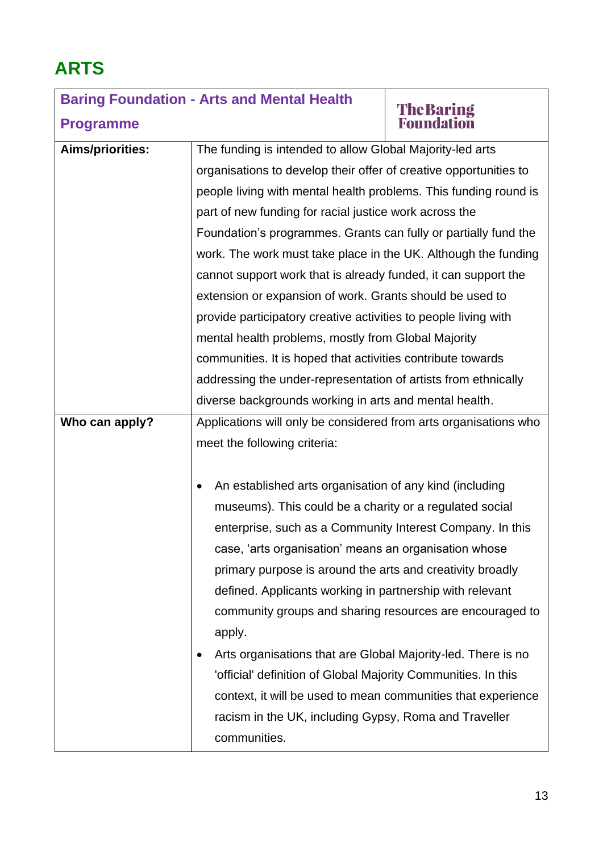# **ARTS**

## **Baring Foundation - Arts and Mental Health The Baring<br>Foundation Programme Aims/priorities:** The funding is intended to allow Global Majority-led arts organisations to develop their offer of creative opportunities to

|                | people living with mental health problems. This funding round is |  |
|----------------|------------------------------------------------------------------|--|
|                | part of new funding for racial justice work across the           |  |
|                | Foundation's programmes. Grants can fully or partially fund the  |  |
|                | work. The work must take place in the UK. Although the funding   |  |
|                | cannot support work that is already funded, it can support the   |  |
|                | extension or expansion of work. Grants should be used to         |  |
|                | provide participatory creative activities to people living with  |  |
|                | mental health problems, mostly from Global Majority              |  |
|                | communities. It is hoped that activities contribute towards      |  |
|                | addressing the under-representation of artists from ethnically   |  |
|                | diverse backgrounds working in arts and mental health.           |  |
| Who can apply? | Applications will only be considered from arts organisations who |  |
|                | meet the following criteria:                                     |  |
|                |                                                                  |  |
|                | An established arts organisation of any kind (including<br>٠     |  |
|                | museums). This could be a charity or a regulated social          |  |
|                | enterprise, such as a Community Interest Company. In this        |  |
|                | case, 'arts organisation' means an organisation whose            |  |
|                | primary purpose is around the arts and creativity broadly        |  |
|                | defined. Applicants working in partnership with relevant         |  |
|                | community groups and sharing resources are encouraged to         |  |
|                | apply.                                                           |  |
|                | Arts organisations that are Global Majority-led. There is no     |  |
|                | 'official' definition of Global Majority Communities. In this    |  |
|                | context, it will be used to mean communities that experience     |  |
|                | racism in the UK, including Gypsy, Roma and Traveller            |  |
|                | communities.                                                     |  |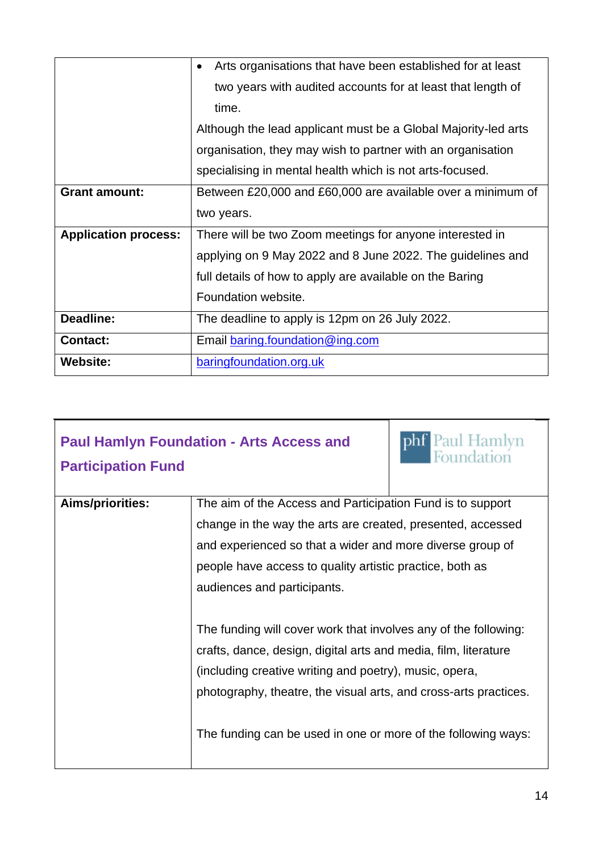|                             | Arts organisations that have been established for at least<br>$\bullet$ |
|-----------------------------|-------------------------------------------------------------------------|
|                             | two years with audited accounts for at least that length of             |
|                             | time.                                                                   |
|                             | Although the lead applicant must be a Global Majority-led arts          |
|                             | organisation, they may wish to partner with an organisation             |
|                             | specialising in mental health which is not arts-focused.                |
| <b>Grant amount:</b>        | Between £20,000 and £60,000 are available over a minimum of             |
|                             | two years.                                                              |
| <b>Application process:</b> | There will be two Zoom meetings for anyone interested in                |
|                             | applying on 9 May 2022 and 8 June 2022. The guidelines and              |
|                             | full details of how to apply are available on the Baring                |
|                             | Foundation website.                                                     |
| Deadline:                   | The deadline to apply is 12pm on 26 July 2022.                          |
| <b>Contact:</b>             | Email baring foundation@ing.com                                         |
| <b>Website:</b>             | baringfoundation.org.uk                                                 |

| <b>Paul Hamlyn Foundation - Arts Access and</b><br><b>Participation Fund</b> |                                                                                                                                                                                                                                                                                                                                   | phf Paul Hamlyn<br>Foundation |
|------------------------------------------------------------------------------|-----------------------------------------------------------------------------------------------------------------------------------------------------------------------------------------------------------------------------------------------------------------------------------------------------------------------------------|-------------------------------|
| Aims/priorities:                                                             | The aim of the Access and Participation Fund is to support<br>change in the way the arts are created, presented, accessed<br>and experienced so that a wider and more diverse group of<br>people have access to quality artistic practice, both as<br>audiences and participants.                                                 |                               |
|                                                                              | The funding will cover work that involves any of the following:<br>crafts, dance, design, digital arts and media, film, literature<br>(including creative writing and poetry), music, opera,<br>photography, theatre, the visual arts, and cross-arts practices.<br>The funding can be used in one or more of the following ways: |                               |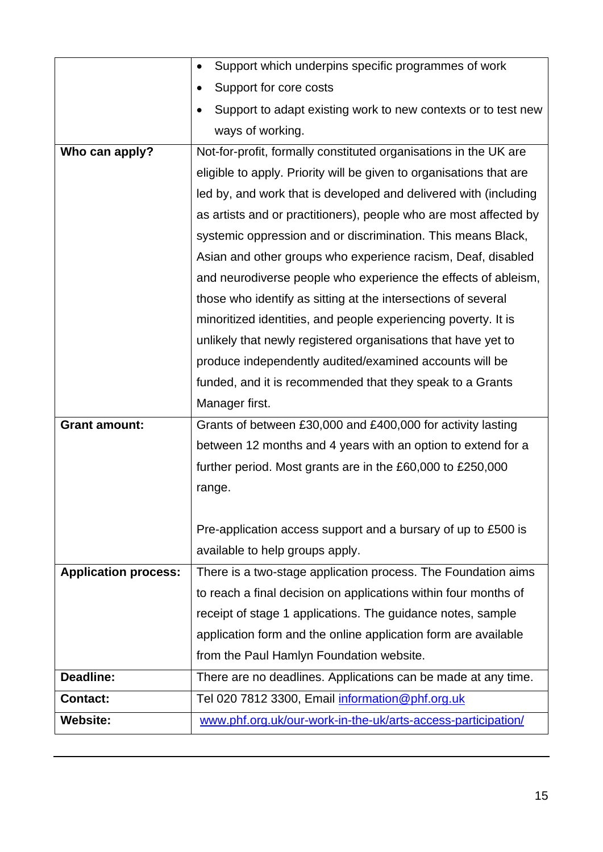|                                    | Support which underpins specific programmes of work                                                             |
|------------------------------------|-----------------------------------------------------------------------------------------------------------------|
|                                    | Support for core costs                                                                                          |
|                                    | Support to adapt existing work to new contexts or to test new                                                   |
|                                    | ways of working.                                                                                                |
| Who can apply?                     | Not-for-profit, formally constituted organisations in the UK are                                                |
|                                    | eligible to apply. Priority will be given to organisations that are                                             |
|                                    | led by, and work that is developed and delivered with (including                                                |
|                                    | as artists and or practitioners), people who are most affected by                                               |
|                                    | systemic oppression and or discrimination. This means Black,                                                    |
|                                    | Asian and other groups who experience racism, Deaf, disabled                                                    |
|                                    | and neurodiverse people who experience the effects of ableism,                                                  |
|                                    | those who identify as sitting at the intersections of several                                                   |
|                                    | minoritized identities, and people experiencing poverty. It is                                                  |
|                                    | unlikely that newly registered organisations that have yet to                                                   |
|                                    | produce independently audited/examined accounts will be                                                         |
|                                    | funded, and it is recommended that they speak to a Grants                                                       |
|                                    | Manager first.                                                                                                  |
| <b>Grant amount:</b>               | Grants of between £30,000 and £400,000 for activity lasting                                                     |
|                                    | between 12 months and 4 years with an option to extend for a                                                    |
|                                    | further period. Most grants are in the £60,000 to £250,000                                                      |
|                                    | range.                                                                                                          |
|                                    |                                                                                                                 |
|                                    | Pre-application access support and a bursary of up to £500 is                                                   |
|                                    | available to help groups apply.                                                                                 |
| <b>Application process:</b>        | There is a two-stage application process. The Foundation aims                                                   |
|                                    | to reach a final decision on applications within four months of                                                 |
|                                    | receipt of stage 1 applications. The guidance notes, sample                                                     |
|                                    | application form and the online application form are available                                                  |
|                                    | from the Paul Hamlyn Foundation website.                                                                        |
| Deadline:                          | There are no deadlines. Applications can be made at any time.                                                   |
|                                    |                                                                                                                 |
| <b>Contact:</b><br><b>Website:</b> | Tel 020 7812 3300, Email information@phf.org.uk<br>www.phf.org.uk/our-work-in-the-uk/arts-access-participation/ |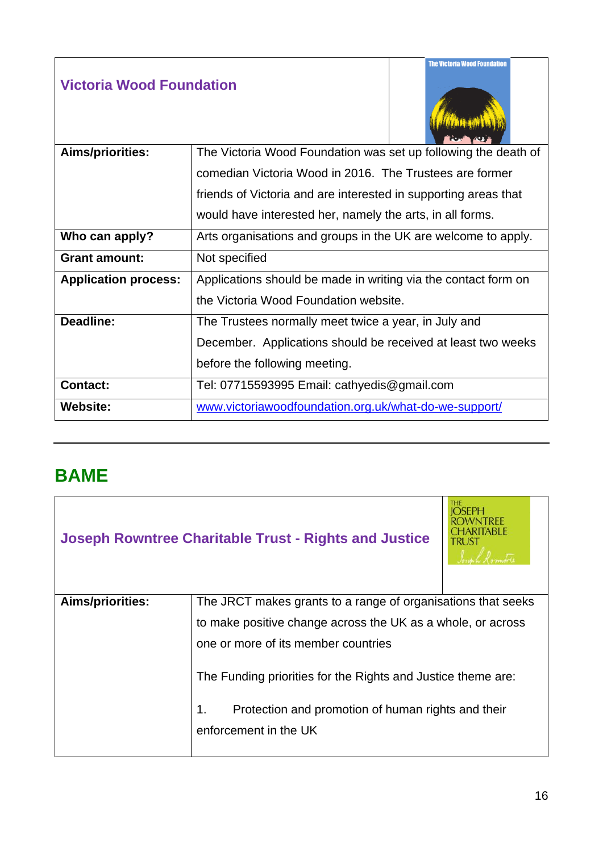#### **Victoria Wood Foundation**



| Aims/priorities:            | The Victoria Wood Foundation was set up following the death of  |  |
|-----------------------------|-----------------------------------------------------------------|--|
|                             | comedian Victoria Wood in 2016. The Trustees are former         |  |
|                             | friends of Victoria and are interested in supporting areas that |  |
|                             | would have interested her, namely the arts, in all forms.       |  |
| Who can apply?              | Arts organisations and groups in the UK are welcome to apply.   |  |
| <b>Grant amount:</b>        | Not specified                                                   |  |
| <b>Application process:</b> | Applications should be made in writing via the contact form on  |  |
|                             | the Victoria Wood Foundation website.                           |  |
| Deadline:                   | The Trustees normally meet twice a year, in July and            |  |
|                             | December. Applications should be received at least two weeks    |  |
|                             | before the following meeting.                                   |  |
| <b>Contact:</b>             | Tel: 07715593995 Email: cathyedis@gmail.com                     |  |
| <b>Website:</b>             | www.victoriawoodfoundation.org.uk/what-do-we-support/           |  |

#### <span id="page-15-1"></span><span id="page-15-0"></span>**BAME**

|                  | <b>Joseph Rowntree Charitable Trust - Rights and Justice</b>                                                                                      | <b>THE</b> |
|------------------|---------------------------------------------------------------------------------------------------------------------------------------------------|------------|
| Aims/priorities: | The JRCT makes grants to a range of organisations that seeks                                                                                      |            |
|                  | to make positive change across the UK as a whole, or across                                                                                       |            |
|                  | one or more of its member countries                                                                                                               |            |
|                  | The Funding priorities for the Rights and Justice theme are:<br>Protection and promotion of human rights and their<br>1.<br>enforcement in the UK |            |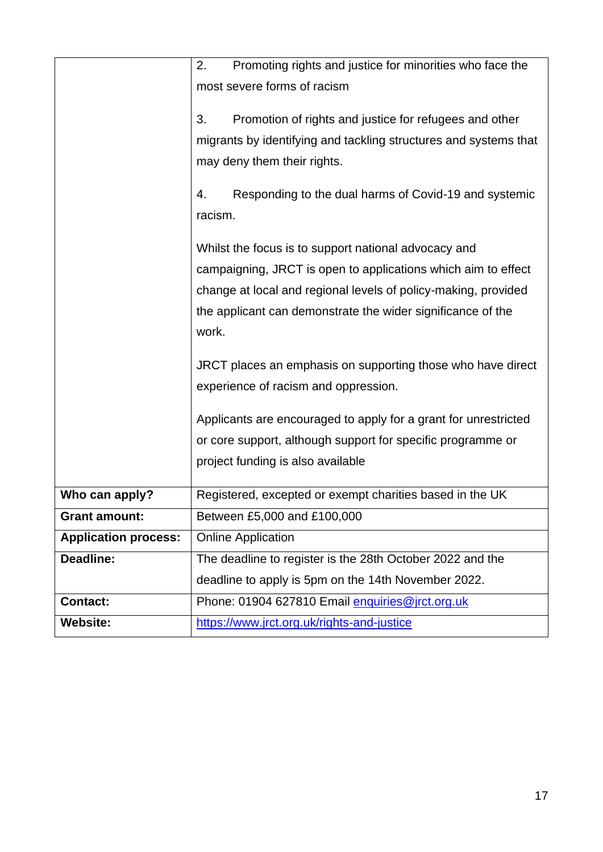|                             | Promoting rights and justice for minorities who face the<br>2.   |  |
|-----------------------------|------------------------------------------------------------------|--|
|                             | most severe forms of racism                                      |  |
|                             |                                                                  |  |
|                             | 3.<br>Promotion of rights and justice for refugees and other     |  |
|                             | migrants by identifying and tackling structures and systems that |  |
|                             | may deny them their rights.                                      |  |
|                             | Responding to the dual harms of Covid-19 and systemic<br>4.      |  |
|                             | racism.                                                          |  |
|                             |                                                                  |  |
|                             | Whilst the focus is to support national advocacy and             |  |
|                             | campaigning, JRCT is open to applications which aim to effect    |  |
|                             | change at local and regional levels of policy-making, provided   |  |
|                             | the applicant can demonstrate the wider significance of the      |  |
|                             | work.                                                            |  |
|                             | JRCT places an emphasis on supporting those who have direct      |  |
|                             | experience of racism and oppression.                             |  |
|                             | Applicants are encouraged to apply for a grant for unrestricted  |  |
|                             |                                                                  |  |
|                             | or core support, although support for specific programme or      |  |
|                             | project funding is also available                                |  |
| Who can apply?              | Registered, excepted or exempt charities based in the UK         |  |
| <b>Grant amount:</b>        | Between £5,000 and £100,000                                      |  |
| <b>Application process:</b> | <b>Online Application</b>                                        |  |
| Deadline:                   | The deadline to register is the 28th October 2022 and the        |  |
|                             | deadline to apply is 5pm on the 14th November 2022.              |  |
| <b>Contact:</b>             | Phone: 01904 627810 Email enquiries@jrct.org.uk                  |  |
| <b>Website:</b>             | https://www.jrct.org.uk/rights-and-justice                       |  |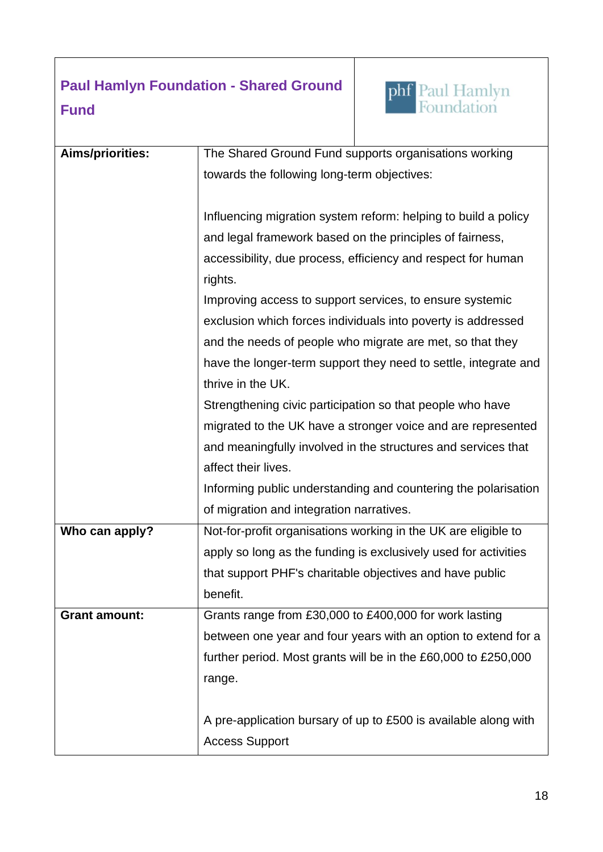#### **Paul Hamlyn Foundation - Shared Ground Fund**



| <b>Aims/priorities:</b> | The Shared Ground Fund supports organisations working           |
|-------------------------|-----------------------------------------------------------------|
|                         | towards the following long-term objectives:                     |
|                         |                                                                 |
|                         | Influencing migration system reform: helping to build a policy  |
|                         | and legal framework based on the principles of fairness,        |
|                         | accessibility, due process, efficiency and respect for human    |
|                         | rights.                                                         |
|                         | Improving access to support services, to ensure systemic        |
|                         | exclusion which forces individuals into poverty is addressed    |
|                         | and the needs of people who migrate are met, so that they       |
|                         | have the longer-term support they need to settle, integrate and |
|                         | thrive in the UK.                                               |
|                         | Strengthening civic participation so that people who have       |
|                         | migrated to the UK have a stronger voice and are represented    |
|                         | and meaningfully involved in the structures and services that   |
|                         | affect their lives.                                             |
|                         | Informing public understanding and countering the polarisation  |
|                         | of migration and integration narratives.                        |
| Who can apply?          | Not-for-profit organisations working in the UK are eligible to  |
|                         | apply so long as the funding is exclusively used for activities |
|                         | that support PHF's charitable objectives and have public        |
|                         | benefit.                                                        |
| <b>Grant amount:</b>    | Grants range from £30,000 to £400,000 for work lasting          |
|                         | between one year and four years with an option to extend for a  |
|                         | further period. Most grants will be in the £60,000 to £250,000  |
|                         | range.                                                          |
|                         |                                                                 |
|                         | A pre-application bursary of up to £500 is available along with |
|                         | <b>Access Support</b>                                           |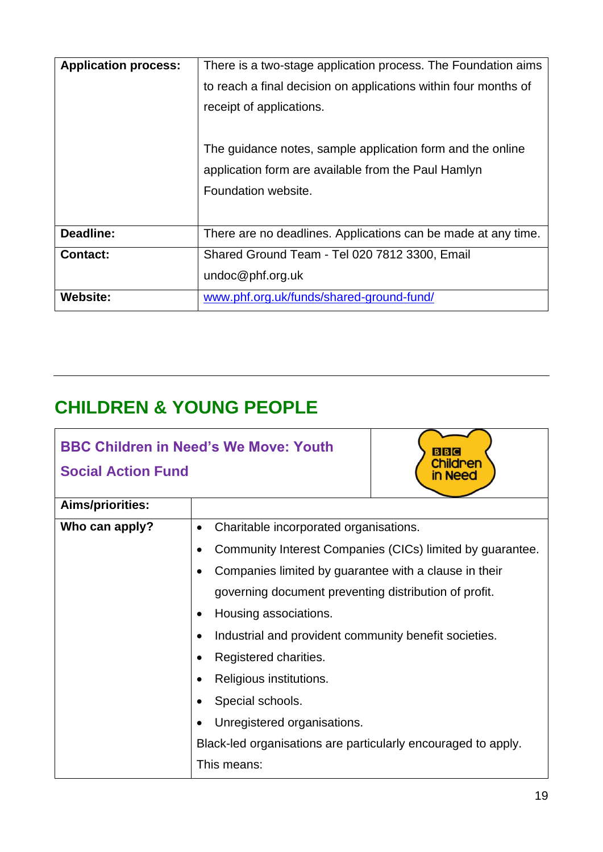| <b>Application process:</b> | There is a two-stage application process. The Foundation aims   |  |
|-----------------------------|-----------------------------------------------------------------|--|
|                             | to reach a final decision on applications within four months of |  |
|                             | receipt of applications.                                        |  |
|                             |                                                                 |  |
|                             | The guidance notes, sample application form and the online      |  |
|                             | application form are available from the Paul Hamlyn             |  |
|                             | Foundation website.                                             |  |
|                             |                                                                 |  |
| Deadline:                   | There are no deadlines. Applications can be made at any time.   |  |
| <b>Contact:</b>             | Shared Ground Team - Tel 020 7812 3300, Email                   |  |
|                             | undoc@phf.org.uk                                                |  |
| <b>Website:</b>             | www.phf.org.uk/funds/shared-ground-fund/                        |  |

## **CHILDREN & YOUNG PEOPLE**

|                           | <b>BBC Children in Need's We Move: Youth</b>                  |  |
|---------------------------|---------------------------------------------------------------|--|
| <b>Social Action Fund</b> | dren<br>n Need                                                |  |
| Aims/priorities:          |                                                               |  |
| Who can apply?            | Charitable incorporated organisations.                        |  |
|                           | Community Interest Companies (CICs) limited by guarantee.     |  |
|                           | Companies limited by guarantee with a clause in their         |  |
|                           | governing document preventing distribution of profit.         |  |
|                           | Housing associations.                                         |  |
|                           | Industrial and provident community benefit societies.         |  |
|                           | Registered charities.                                         |  |
|                           | Religious institutions.                                       |  |
|                           | Special schools.                                              |  |
|                           | Unregistered organisations.                                   |  |
|                           | Black-led organisations are particularly encouraged to apply. |  |
|                           | This means:                                                   |  |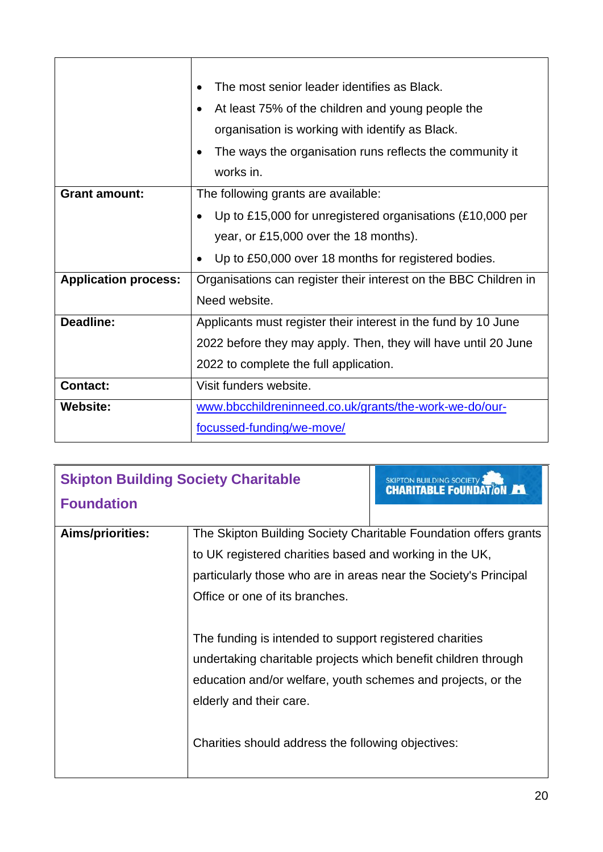|                             | The most senior leader identifies as Black.<br>At least 75% of the children and young people the<br>$\bullet$<br>organisation is working with identify as Black.<br>The ways the organisation runs reflects the community it<br>works in. |  |
|-----------------------------|-------------------------------------------------------------------------------------------------------------------------------------------------------------------------------------------------------------------------------------------|--|
| <b>Grant amount:</b>        | The following grants are available:                                                                                                                                                                                                       |  |
|                             | Up to £15,000 for unregistered organisations (£10,000 per<br>$\bullet$                                                                                                                                                                    |  |
|                             | year, or £15,000 over the 18 months).                                                                                                                                                                                                     |  |
|                             | Up to £50,000 over 18 months for registered bodies.                                                                                                                                                                                       |  |
| <b>Application process:</b> | Organisations can register their interest on the BBC Children in                                                                                                                                                                          |  |
|                             | Need website.                                                                                                                                                                                                                             |  |
| Deadline:                   | Applicants must register their interest in the fund by 10 June                                                                                                                                                                            |  |
|                             | 2022 before they may apply. Then, they will have until 20 June                                                                                                                                                                            |  |
|                             | 2022 to complete the full application.                                                                                                                                                                                                    |  |
| <b>Contact:</b>             | Visit funders website.                                                                                                                                                                                                                    |  |
| <b>Website:</b>             | www.bbcchildreninneed.co.uk/grants/the-work-we-do/our-                                                                                                                                                                                    |  |
|                             | focussed-funding/we-move/                                                                                                                                                                                                                 |  |

| <b>Skipton Building Society Charitable</b><br><b>Foundation</b> |                                                                  | <b>SKIPTON BUILDING SOCIETY</b><br><b>CHARITABLE FOUNDATION FL</b> |  |
|-----------------------------------------------------------------|------------------------------------------------------------------|--------------------------------------------------------------------|--|
|                                                                 |                                                                  |                                                                    |  |
| Aims/priorities:                                                | The Skipton Building Society Charitable Foundation offers grants |                                                                    |  |
|                                                                 | to UK registered charities based and working in the UK,          |                                                                    |  |
|                                                                 | particularly those who are in areas near the Society's Principal |                                                                    |  |
|                                                                 | Office or one of its branches.                                   |                                                                    |  |
|                                                                 |                                                                  |                                                                    |  |
|                                                                 | The funding is intended to support registered charities          |                                                                    |  |
|                                                                 | undertaking charitable projects which benefit children through   |                                                                    |  |
|                                                                 | education and/or welfare, youth schemes and projects, or the     |                                                                    |  |
|                                                                 | elderly and their care.                                          |                                                                    |  |
|                                                                 | Charities should address the following objectives:               |                                                                    |  |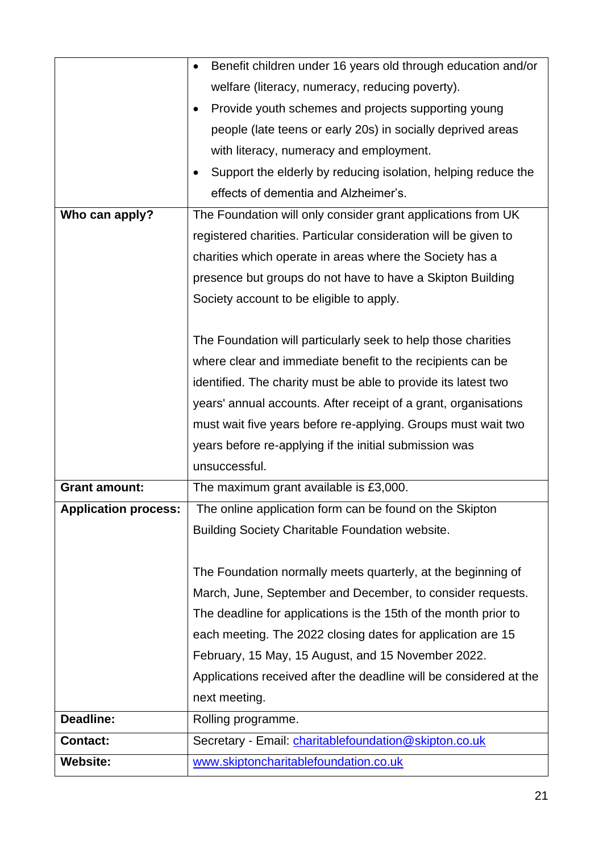|                             | Benefit children under 16 years old through education and/or       |  |
|-----------------------------|--------------------------------------------------------------------|--|
|                             | welfare (literacy, numeracy, reducing poverty).                    |  |
|                             | Provide youth schemes and projects supporting young                |  |
|                             | people (late teens or early 20s) in socially deprived areas        |  |
|                             | with literacy, numeracy and employment.                            |  |
|                             | Support the elderly by reducing isolation, helping reduce the      |  |
|                             | effects of dementia and Alzheimer's.                               |  |
| Who can apply?              | The Foundation will only consider grant applications from UK       |  |
|                             | registered charities. Particular consideration will be given to    |  |
|                             | charities which operate in areas where the Society has a           |  |
|                             | presence but groups do not have to have a Skipton Building         |  |
|                             | Society account to be eligible to apply.                           |  |
|                             |                                                                    |  |
|                             | The Foundation will particularly seek to help those charities      |  |
|                             | where clear and immediate benefit to the recipients can be         |  |
|                             | identified. The charity must be able to provide its latest two     |  |
|                             | years' annual accounts. After receipt of a grant, organisations    |  |
|                             | must wait five years before re-applying. Groups must wait two      |  |
|                             | years before re-applying if the initial submission was             |  |
|                             | unsuccessful.                                                      |  |
| <b>Grant amount:</b>        | The maximum grant available is £3,000.                             |  |
| <b>Application process:</b> | The online application form can be found on the Skipton            |  |
|                             | <b>Building Society Charitable Foundation website.</b>             |  |
|                             |                                                                    |  |
|                             | The Foundation normally meets quarterly, at the beginning of       |  |
|                             | March, June, September and December, to consider requests.         |  |
|                             | The deadline for applications is the 15th of the month prior to    |  |
|                             | each meeting. The 2022 closing dates for application are 15        |  |
|                             | February, 15 May, 15 August, and 15 November 2022.                 |  |
|                             | Applications received after the deadline will be considered at the |  |
|                             | next meeting.                                                      |  |
| Deadline:                   | Rolling programme.                                                 |  |
| <b>Contact:</b>             | Secretary - Email: charitablefoundation@skipton.co.uk              |  |
|                             |                                                                    |  |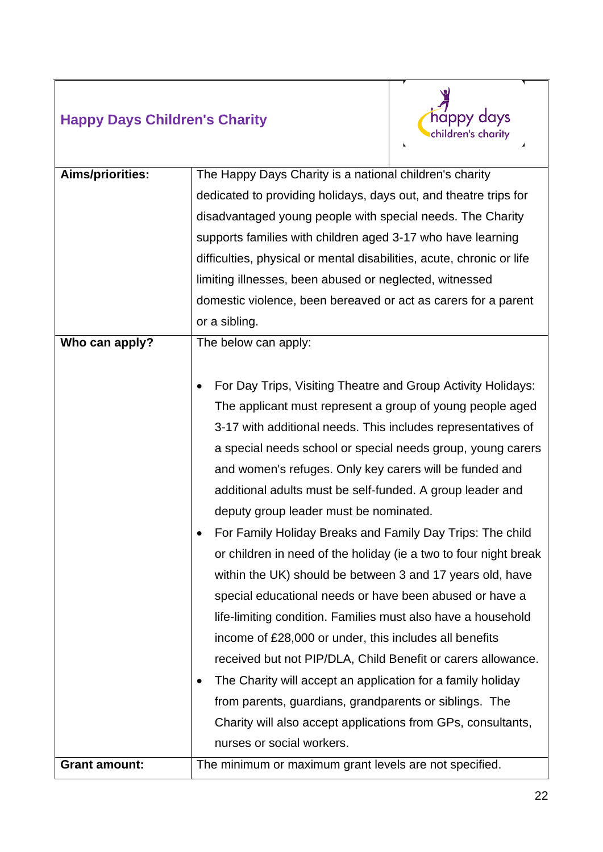#### **Happy Days Children's Charity**



| Aims/priorities:     | The Happy Days Charity is a national children's charity               |  |  |
|----------------------|-----------------------------------------------------------------------|--|--|
|                      | dedicated to providing holidays, days out, and theatre trips for      |  |  |
|                      | disadvantaged young people with special needs. The Charity            |  |  |
|                      | supports families with children aged 3-17 who have learning           |  |  |
|                      | difficulties, physical or mental disabilities, acute, chronic or life |  |  |
|                      | limiting illnesses, been abused or neglected, witnessed               |  |  |
|                      | domestic violence, been bereaved or act as carers for a parent        |  |  |
|                      | or a sibling.                                                         |  |  |
| Who can apply?       | The below can apply:                                                  |  |  |
|                      |                                                                       |  |  |
|                      | For Day Trips, Visiting Theatre and Group Activity Holidays:          |  |  |
|                      | The applicant must represent a group of young people aged             |  |  |
|                      | 3-17 with additional needs. This includes representatives of          |  |  |
|                      | a special needs school or special needs group, young carers           |  |  |
|                      | and women's refuges. Only key carers will be funded and               |  |  |
|                      | additional adults must be self-funded. A group leader and             |  |  |
|                      | deputy group leader must be nominated.                                |  |  |
|                      | For Family Holiday Breaks and Family Day Trips: The child<br>٠        |  |  |
|                      | or children in need of the holiday (ie a two to four night break      |  |  |
|                      | within the UK) should be between 3 and 17 years old, have             |  |  |
|                      | special educational needs or have been abused or have a               |  |  |
|                      | life-limiting condition. Families must also have a household          |  |  |
|                      | income of £28,000 or under, this includes all benefits                |  |  |
|                      | received but not PIP/DLA, Child Benefit or carers allowance.          |  |  |
|                      | The Charity will accept an application for a family holiday           |  |  |
|                      | from parents, guardians, grandparents or siblings. The                |  |  |
|                      | Charity will also accept applications from GPs, consultants,          |  |  |
|                      | nurses or social workers.                                             |  |  |
| <b>Grant amount:</b> | The minimum or maximum grant levels are not specified.                |  |  |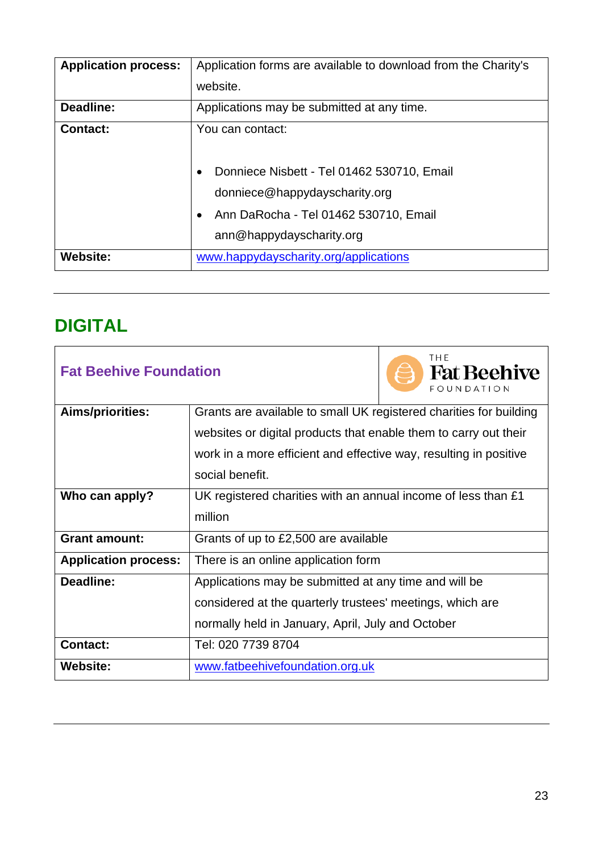| <b>Application process:</b> | Application forms are available to download from the Charity's              |  |
|-----------------------------|-----------------------------------------------------------------------------|--|
|                             | website.                                                                    |  |
| Deadline:                   | Applications may be submitted at any time.                                  |  |
| <b>Contact:</b>             | You can contact:                                                            |  |
|                             | Donniece Nisbett - Tel 01462 530710, Email<br>donniece@happydayscharity.org |  |
|                             | Ann DaRocha - Tel 01462 530710, Email<br>$\bullet$                          |  |
|                             | ann@happydayscharity.org                                                    |  |
| <b>Website:</b>             | www.happydayscharity.org/applications                                       |  |

### <span id="page-22-0"></span>**DIGITAL**

| <b>Fat Beehive Foundation</b> |                                                                    | THE<br><b>Fat Beehive</b><br>FOUNDATION |  |
|-------------------------------|--------------------------------------------------------------------|-----------------------------------------|--|
| Aims/priorities:              | Grants are available to small UK registered charities for building |                                         |  |
|                               | websites or digital products that enable them to carry out their   |                                         |  |
|                               | work in a more efficient and effective way, resulting in positive  |                                         |  |
|                               | social benefit.                                                    |                                         |  |
| Who can apply?                | UK registered charities with an annual income of less than £1      |                                         |  |
|                               | million                                                            |                                         |  |
| <b>Grant amount:</b>          | Grants of up to £2,500 are available                               |                                         |  |
| <b>Application process:</b>   | There is an online application form                                |                                         |  |
| Deadline:                     | Applications may be submitted at any time and will be              |                                         |  |
|                               | considered at the quarterly trustees' meetings, which are          |                                         |  |
|                               | normally held in January, April, July and October                  |                                         |  |
| <b>Contact:</b>               | Tel: 020 7739 8704                                                 |                                         |  |
| <b>Website:</b>               | www.fatbeehivefoundation.org.uk                                    |                                         |  |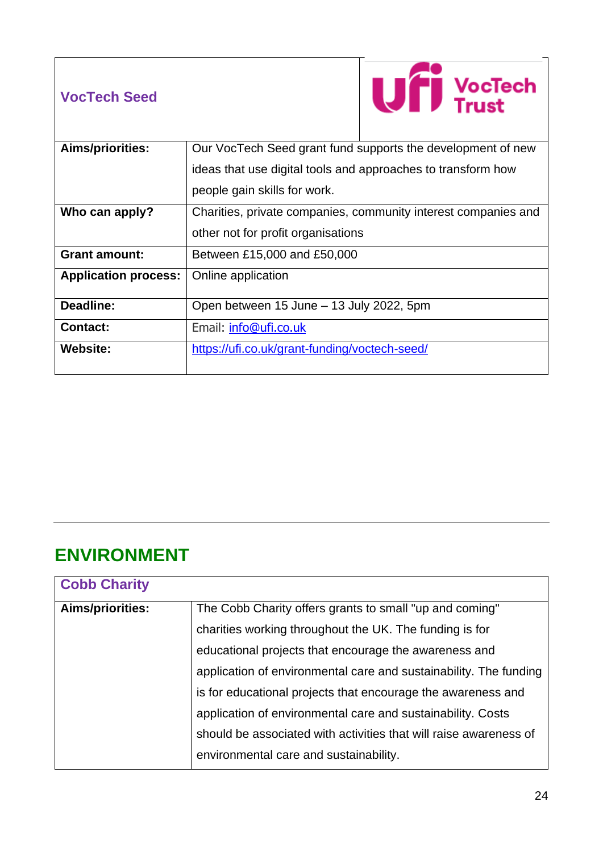#### **VocTech Seed**



| Aims/priorities:            | Our VocTech Seed grant fund supports the development of new    |  |
|-----------------------------|----------------------------------------------------------------|--|
|                             | ideas that use digital tools and approaches to transform how   |  |
|                             | people gain skills for work.                                   |  |
| Who can apply?              | Charities, private companies, community interest companies and |  |
|                             | other not for profit organisations                             |  |
| <b>Grant amount:</b>        | Between £15,000 and £50,000                                    |  |
| <b>Application process:</b> | Online application                                             |  |
| Deadline:                   | Open between 15 June – 13 July 2022, 5pm                       |  |
| <b>Contact:</b>             | Email: info@ufi.co.uk                                          |  |
| <b>Website:</b>             | https://ufi.co.uk/grant-funding/voctech-seed/                  |  |

#### <span id="page-23-0"></span>**ENVIRONMENT**

| <b>Cobb Charity</b>                                                                |                                                                   |  |
|------------------------------------------------------------------------------------|-------------------------------------------------------------------|--|
| <b>Aims/priorities:</b><br>The Cobb Charity offers grants to small "up and coming" |                                                                   |  |
|                                                                                    | charities working throughout the UK. The funding is for           |  |
|                                                                                    | educational projects that encourage the awareness and             |  |
|                                                                                    | application of environmental care and sustainability. The funding |  |
|                                                                                    | is for educational projects that encourage the awareness and      |  |
|                                                                                    | application of environmental care and sustainability. Costs       |  |
|                                                                                    | should be associated with activities that will raise awareness of |  |
|                                                                                    | environmental care and sustainability.                            |  |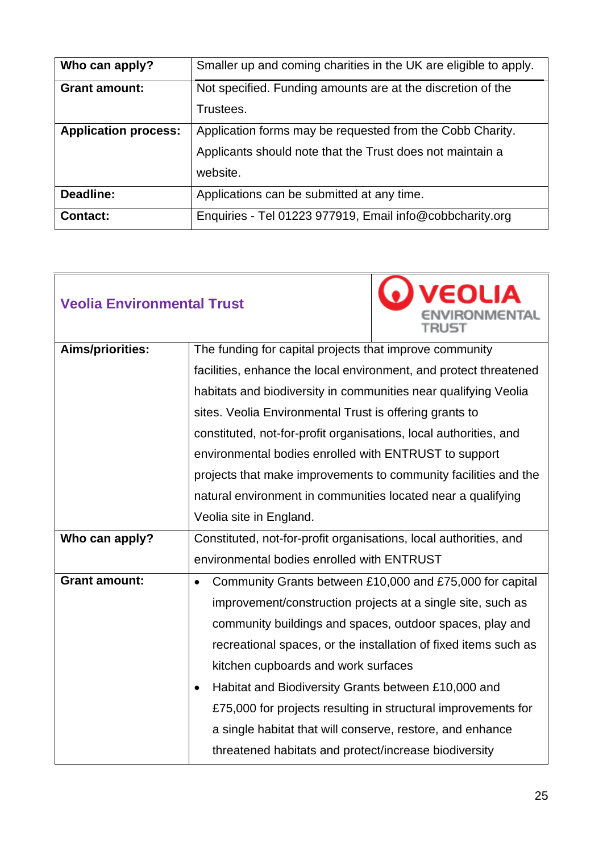| Who can apply?              | Smaller up and coming charities in the UK are eligible to apply. |  |
|-----------------------------|------------------------------------------------------------------|--|
| <b>Grant amount:</b>        | Not specified. Funding amounts are at the discretion of the      |  |
|                             | Trustees.                                                        |  |
| <b>Application process:</b> | Application forms may be requested from the Cobb Charity.        |  |
|                             | Applicants should note that the Trust does not maintain a        |  |
|                             | website.                                                         |  |
| Deadline:                   | Applications can be submitted at any time.                       |  |
| <b>Contact:</b>             | Enquiries - Tel 01223 977919, Email info@cobbcharity.org         |  |

| <b>Veolia Environmental Trust</b> |                                                                                                                                                                    | .) VEOLIA<br><b>IVIRONMENTAL</b><br>TRUST                     |  |
|-----------------------------------|--------------------------------------------------------------------------------------------------------------------------------------------------------------------|---------------------------------------------------------------|--|
| <b>Aims/priorities:</b>           | The funding for capital projects that improve community                                                                                                            |                                                               |  |
|                                   | facilities, enhance the local environment, and protect threatened                                                                                                  |                                                               |  |
|                                   | habitats and biodiversity in communities near qualifying Veolia                                                                                                    |                                                               |  |
|                                   | sites. Veolia Environmental Trust is offering grants to                                                                                                            |                                                               |  |
|                                   | constituted, not-for-profit organisations, local authorities, and                                                                                                  |                                                               |  |
|                                   | environmental bodies enrolled with ENTRUST to support                                                                                                              |                                                               |  |
|                                   | projects that make improvements to community facilities and the                                                                                                    |                                                               |  |
|                                   | natural environment in communities located near a qualifying                                                                                                       |                                                               |  |
|                                   | Veolia site in England.                                                                                                                                            |                                                               |  |
| Who can apply?                    | Constituted, not-for-profit organisations, local authorities, and                                                                                                  |                                                               |  |
|                                   | environmental bodies enrolled with ENTRUST                                                                                                                         |                                                               |  |
| <b>Grant amount:</b>              | Community Grants between £10,000 and £75,000 for capital<br>$\bullet$                                                                                              |                                                               |  |
|                                   | improvement/construction projects at a single site, such as                                                                                                        |                                                               |  |
|                                   | community buildings and spaces, outdoor spaces, play and<br>recreational spaces, or the installation of fixed items such as<br>kitchen cupboards and work surfaces |                                                               |  |
|                                   |                                                                                                                                                                    |                                                               |  |
|                                   |                                                                                                                                                                    |                                                               |  |
|                                   | Habitat and Biodiversity Grants between £10,000 and                                                                                                                |                                                               |  |
|                                   |                                                                                                                                                                    | £75,000 for projects resulting in structural improvements for |  |
|                                   | a single habitat that will conserve, restore, and enhance                                                                                                          |                                                               |  |
|                                   | threatened habitats and protect/increase biodiversity                                                                                                              |                                                               |  |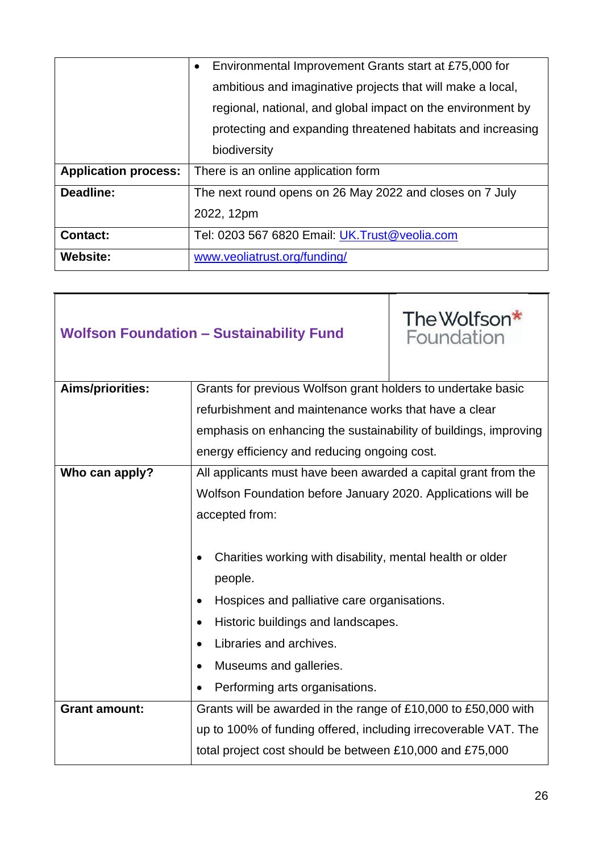|                             | Environmental Improvement Grants start at £75,000 for<br>$\bullet$ |
|-----------------------------|--------------------------------------------------------------------|
|                             | ambitious and imaginative projects that will make a local,         |
|                             | regional, national, and global impact on the environment by        |
|                             | protecting and expanding threatened habitats and increasing        |
|                             | biodiversity                                                       |
| <b>Application process:</b> | There is an online application form                                |
| Deadline:                   | The next round opens on 26 May 2022 and closes on 7 July           |
|                             | 2022, 12pm                                                         |
| <b>Contact:</b>             | Tel: 0203 567 6820 Email: UK. Trust@veolia.com                     |
| <b>Website:</b>             | www.veoliatrust.org/funding/                                       |

| <b>Wolfson Foundation - Sustainability Fund</b> |                                                                  | The Wolfson*<br>Foundation |
|-------------------------------------------------|------------------------------------------------------------------|----------------------------|
| Aims/priorities:                                | Grants for previous Wolfson grant holders to undertake basic     |                            |
|                                                 | refurbishment and maintenance works that have a clear            |                            |
|                                                 | emphasis on enhancing the sustainability of buildings, improving |                            |
|                                                 | energy efficiency and reducing ongoing cost.                     |                            |
| Who can apply?                                  | All applicants must have been awarded a capital grant from the   |                            |
|                                                 | Wolfson Foundation before January 2020. Applications will be     |                            |
|                                                 | accepted from:                                                   |                            |
|                                                 |                                                                  |                            |
|                                                 | Charities working with disability, mental health or older        |                            |
|                                                 | people.                                                          |                            |
|                                                 | Hospices and palliative care organisations.                      |                            |
|                                                 | Historic buildings and landscapes.                               |                            |
|                                                 | Libraries and archives.                                          |                            |
|                                                 | Museums and galleries.                                           |                            |
|                                                 | Performing arts organisations.                                   |                            |
| <b>Grant amount:</b>                            | Grants will be awarded in the range of £10,000 to £50,000 with   |                            |
|                                                 | up to 100% of funding offered, including irrecoverable VAT. The  |                            |
|                                                 | total project cost should be between £10,000 and £75,000         |                            |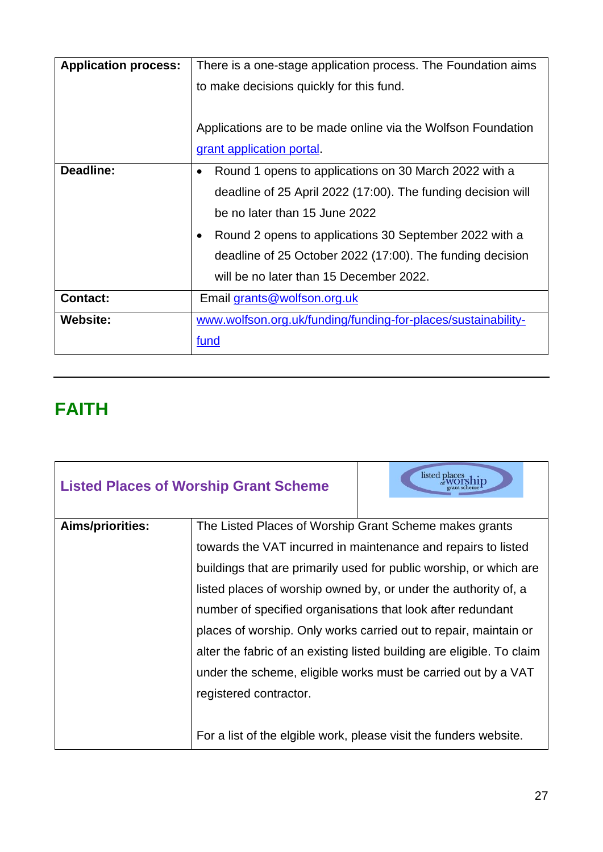| <b>Application process:</b> | There is a one-stage application process. The Foundation aims      |
|-----------------------------|--------------------------------------------------------------------|
|                             | to make decisions quickly for this fund.                           |
|                             |                                                                    |
|                             | Applications are to be made online via the Wolfson Foundation      |
|                             | grant application portal.                                          |
| <b>Deadline:</b>            | Round 1 opens to applications on 30 March 2022 with a<br>$\bullet$ |
|                             | deadline of 25 April 2022 (17:00). The funding decision will       |
|                             | be no later than 15 June 2022                                      |
|                             | Round 2 opens to applications 30 September 2022 with a             |
|                             | deadline of 25 October 2022 (17:00). The funding decision          |
|                             | will be no later than 15 December 2022.                            |
| <b>Contact:</b>             | Email grants@wolfson.org.uk                                        |
| <b>Website:</b>             | www.wolfson.org.uk/funding/funding-for-places/sustainability-      |
|                             | fund                                                               |

## <span id="page-26-0"></span>**FAITH**

| <b>Listed Places of Worship Grant Scheme</b> |                                                             | listed places                                                          |
|----------------------------------------------|-------------------------------------------------------------|------------------------------------------------------------------------|
| <b>Aims/priorities:</b>                      | The Listed Places of Worship Grant Scheme makes grants      |                                                                        |
|                                              |                                                             | towards the VAT incurred in maintenance and repairs to listed          |
|                                              |                                                             | buildings that are primarily used for public worship, or which are     |
|                                              |                                                             | listed places of worship owned by, or under the authority of, a        |
|                                              | number of specified organisations that look after redundant |                                                                        |
|                                              |                                                             | places of worship. Only works carried out to repair, maintain or       |
|                                              |                                                             | alter the fabric of an existing listed building are eligible. To claim |
|                                              |                                                             | under the scheme, eligible works must be carried out by a VAT          |
|                                              | registered contractor.                                      |                                                                        |
|                                              |                                                             |                                                                        |
|                                              |                                                             | For a list of the elgible work, please visit the funders website.      |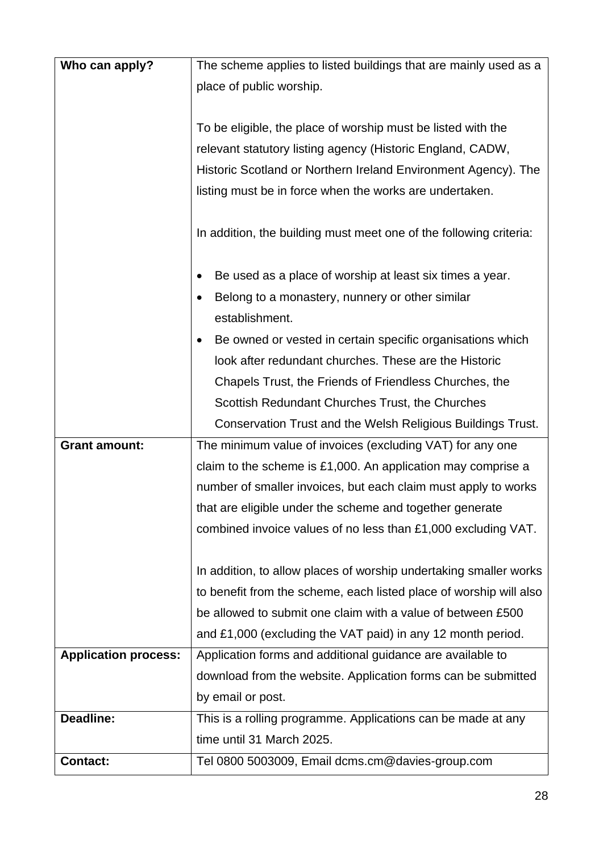| Who can apply?              | The scheme applies to listed buildings that are mainly used as a   |
|-----------------------------|--------------------------------------------------------------------|
|                             | place of public worship.                                           |
|                             |                                                                    |
|                             | To be eligible, the place of worship must be listed with the       |
|                             | relevant statutory listing agency (Historic England, CADW,         |
|                             | Historic Scotland or Northern Ireland Environment Agency). The     |
|                             | listing must be in force when the works are undertaken.            |
|                             |                                                                    |
|                             | In addition, the building must meet one of the following criteria: |
|                             | Be used as a place of worship at least six times a year.           |
|                             | Belong to a monastery, nunnery or other similar<br>establishment.  |
|                             | Be owned or vested in certain specific organisations which         |
|                             | look after redundant churches. These are the Historic              |
|                             | Chapels Trust, the Friends of Friendless Churches, the             |
|                             | Scottish Redundant Churches Trust, the Churches                    |
|                             | Conservation Trust and the Welsh Religious Buildings Trust.        |
| <b>Grant amount:</b>        | The minimum value of invoices (excluding VAT) for any one          |
|                             | claim to the scheme is £1,000. An application may comprise a       |
|                             | number of smaller invoices, but each claim must apply to works     |
|                             | that are eligible under the scheme and together generate           |
|                             | combined invoice values of no less than £1,000 excluding VAT.      |
|                             |                                                                    |
|                             | In addition, to allow places of worship undertaking smaller works  |
|                             | to benefit from the scheme, each listed place of worship will also |
|                             | be allowed to submit one claim with a value of between £500        |
|                             | and £1,000 (excluding the VAT paid) in any 12 month period.        |
| <b>Application process:</b> | Application forms and additional guidance are available to         |
|                             | download from the website. Application forms can be submitted      |
|                             | by email or post.                                                  |
| Deadline:                   | This is a rolling programme. Applications can be made at any       |
|                             | time until 31 March 2025.                                          |
| <b>Contact:</b>             | Tel 0800 5003009, Email dcms.cm@davies-group.com                   |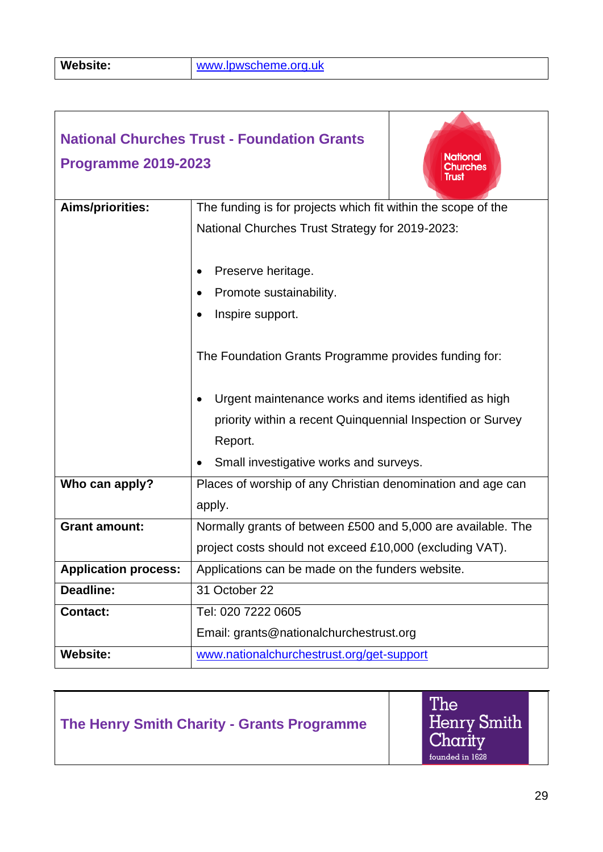|                             | <b>National Churches Trust - Foundation Grants</b>            |
|-----------------------------|---------------------------------------------------------------|
|                             | <b>National</b>                                               |
| <b>Programme 2019-2023</b>  | <b>Churches</b><br>Trust                                      |
|                             |                                                               |
| Aims/priorities:            | The funding is for projects which fit within the scope of the |
|                             | National Churches Trust Strategy for 2019-2023:               |
|                             |                                                               |
|                             | Preserve heritage.                                            |
|                             | Promote sustainability.                                       |
|                             | Inspire support.                                              |
|                             |                                                               |
|                             | The Foundation Grants Programme provides funding for:         |
|                             |                                                               |
|                             | Urgent maintenance works and items identified as high         |
|                             | priority within a recent Quinquennial Inspection or Survey    |
|                             | Report.                                                       |
|                             | Small investigative works and surveys.                        |
| Who can apply?              | Places of worship of any Christian denomination and age can   |
|                             | apply.                                                        |
| <b>Grant amount:</b>        | Normally grants of between £500 and 5,000 are available. The  |
|                             | project costs should not exceed £10,000 (excluding VAT).      |
| <b>Application process:</b> | Applications can be made on the funders website.              |
| Deadline:                   | 31 October 22                                                 |
| <b>Contact:</b>             | Tel: 020 7222 0605                                            |
|                             | Email: grants@nationalchurchestrust.org                       |
| <b>Website:</b>             | www.nationalchurchestrust.org/get-support                     |

**The Henry Smith Charity - Grants Programme**

The<br>Henry Smith<br>Charity<br><sub>founded in 1628</sub>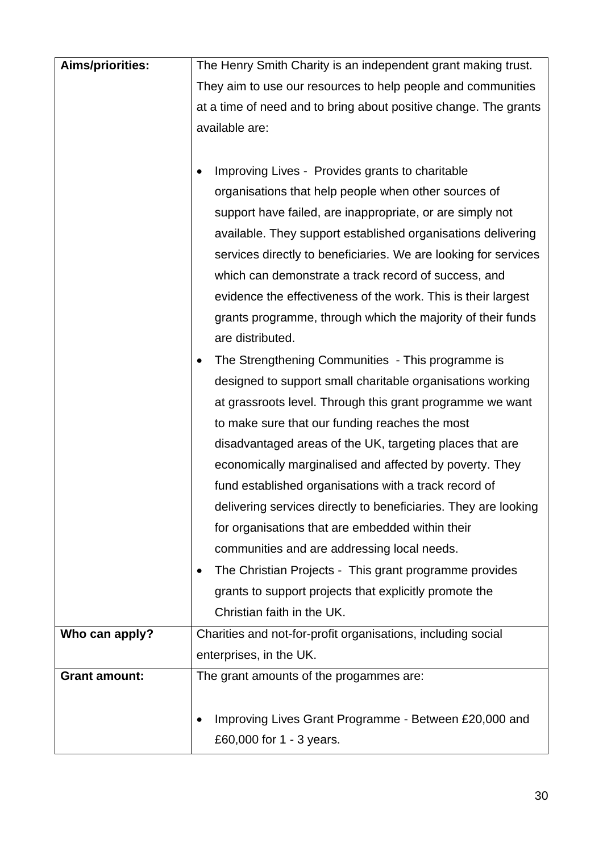| <b>Aims/priorities:</b> | The Henry Smith Charity is an independent grant making trust.    |
|-------------------------|------------------------------------------------------------------|
|                         | They aim to use our resources to help people and communities     |
|                         | at a time of need and to bring about positive change. The grants |
|                         | available are:                                                   |
|                         |                                                                  |
|                         | Improving Lives - Provides grants to charitable                  |
|                         | organisations that help people when other sources of             |
|                         | support have failed, are inappropriate, or are simply not        |
|                         | available. They support established organisations delivering     |
|                         | services directly to beneficiaries. We are looking for services  |
|                         | which can demonstrate a track record of success, and             |
|                         | evidence the effectiveness of the work. This is their largest    |
|                         | grants programme, through which the majority of their funds      |
|                         | are distributed.                                                 |
|                         | The Strengthening Communities - This programme is                |
|                         | designed to support small charitable organisations working       |
|                         | at grassroots level. Through this grant programme we want        |
|                         | to make sure that our funding reaches the most                   |
|                         | disadvantaged areas of the UK, targeting places that are         |
|                         | economically marginalised and affected by poverty. They          |
|                         | fund established organisations with a track record of            |
|                         | delivering services directly to beneficiaries. They are looking  |
|                         | for organisations that are embedded within their                 |
|                         | communities and are addressing local needs.                      |
|                         | The Christian Projects - This grant programme provides           |
|                         | grants to support projects that explicitly promote the           |
|                         | Christian faith in the UK.                                       |
| Who can apply?          | Charities and not-for-profit organisations, including social     |
|                         | enterprises, in the UK.                                          |
| <b>Grant amount:</b>    | The grant amounts of the progammes are:                          |
|                         |                                                                  |
|                         | Improving Lives Grant Programme - Between £20,000 and            |
|                         | £60,000 for 1 - 3 years.                                         |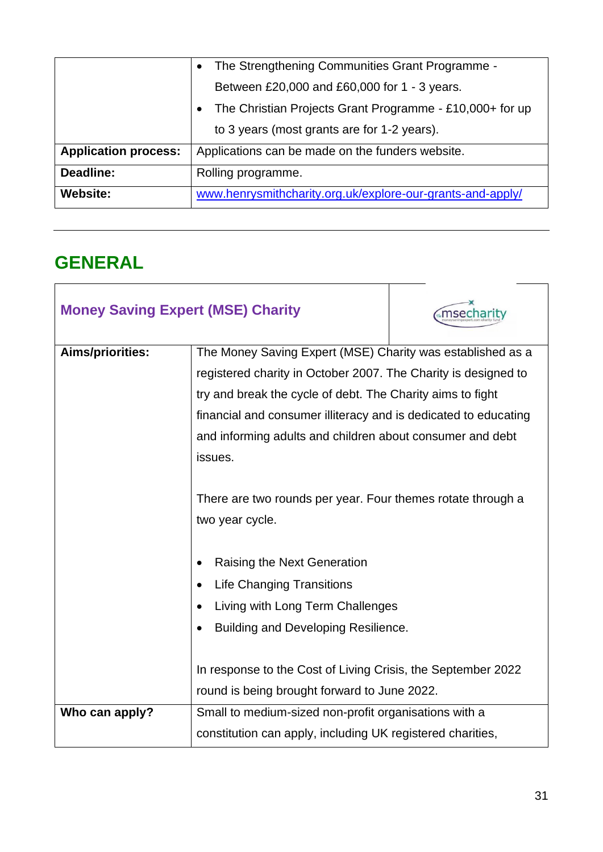|                             | The Strengthening Communities Grant Programme -            |
|-----------------------------|------------------------------------------------------------|
|                             | Between £20,000 and £60,000 for 1 - 3 years.               |
|                             | The Christian Projects Grant Programme - £10,000+ for up   |
|                             | to 3 years (most grants are for 1-2 years).                |
| <b>Application process:</b> | Applications can be made on the funders website.           |
| Deadline:                   | Rolling programme.                                         |
| Website:                    | www.henrysmithcharity.org.uk/explore-our-grants-and-apply/ |

#### <span id="page-30-0"></span>**GENERAL**

| <b>Money Saving Expert (MSE) Charity</b> |                                                                                                                              | msecharity |
|------------------------------------------|------------------------------------------------------------------------------------------------------------------------------|------------|
| Aims/priorities:                         | The Money Saving Expert (MSE) Charity was established as a<br>registered charity in October 2007. The Charity is designed to |            |
|                                          | try and break the cycle of debt. The Charity aims to fight                                                                   |            |
|                                          | financial and consumer illiteracy and is dedicated to educating                                                              |            |
|                                          | and informing adults and children about consumer and debt                                                                    |            |
|                                          | issues.                                                                                                                      |            |
|                                          |                                                                                                                              |            |
|                                          | There are two rounds per year. Four themes rotate through a                                                                  |            |
|                                          | two year cycle.                                                                                                              |            |
|                                          |                                                                                                                              |            |
|                                          | Raising the Next Generation                                                                                                  |            |
|                                          | <b>Life Changing Transitions</b>                                                                                             |            |
|                                          | Living with Long Term Challenges                                                                                             |            |
|                                          | Building and Developing Resilience.                                                                                          |            |
|                                          |                                                                                                                              |            |
|                                          | In response to the Cost of Living Crisis, the September 2022                                                                 |            |
|                                          | round is being brought forward to June 2022.                                                                                 |            |
| Who can apply?                           | Small to medium-sized non-profit organisations with a                                                                        |            |
|                                          | constitution can apply, including UK registered charities,                                                                   |            |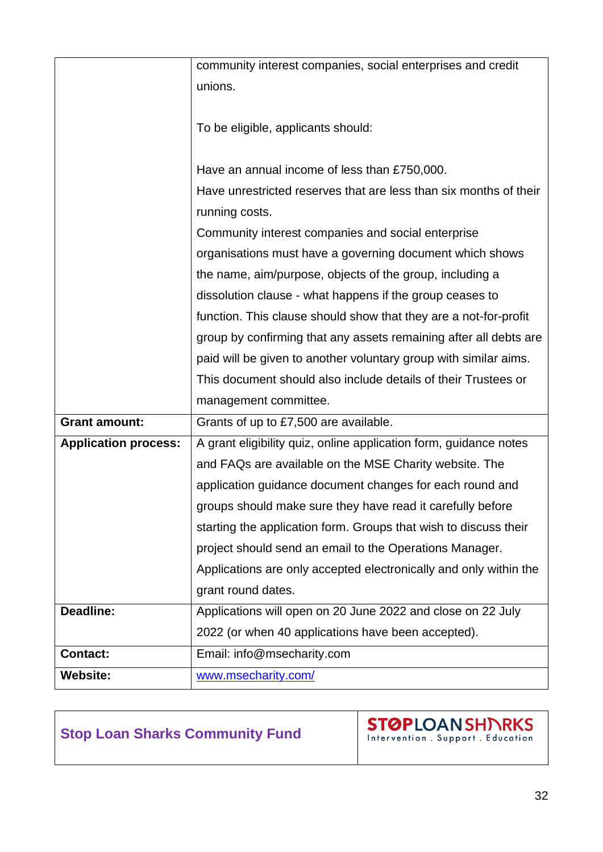|                             | community interest companies, social enterprises and credit       |
|-----------------------------|-------------------------------------------------------------------|
|                             | unions.                                                           |
|                             |                                                                   |
|                             | To be eligible, applicants should:                                |
|                             |                                                                   |
|                             | Have an annual income of less than £750,000.                      |
|                             | Have unrestricted reserves that are less than six months of their |
|                             | running costs.                                                    |
|                             | Community interest companies and social enterprise                |
|                             | organisations must have a governing document which shows          |
|                             | the name, aim/purpose, objects of the group, including a          |
|                             | dissolution clause - what happens if the group ceases to          |
|                             | function. This clause should show that they are a not-for-profit  |
|                             | group by confirming that any assets remaining after all debts are |
|                             | paid will be given to another voluntary group with similar aims.  |
|                             | This document should also include details of their Trustees or    |
|                             | management committee.                                             |
| <b>Grant amount:</b>        | Grants of up to £7,500 are available.                             |
| <b>Application process:</b> | A grant eligibility quiz, online application form, guidance notes |
|                             | and FAQs are available on the MSE Charity website. The            |
|                             | application guidance document changes for each round and          |
|                             | groups should make sure they have read it carefully before        |
|                             | starting the application form. Groups that wish to discuss their  |
|                             | project should send an email to the Operations Manager.           |
|                             | Applications are only accepted electronically and only within the |
|                             | grant round dates.                                                |
| Deadline:                   | Applications will open on 20 June 2022 and close on 22 July       |
|                             | 2022 (or when 40 applications have been accepted).                |
| <b>Contact:</b>             | Email: info@msecharity.com                                        |
| <b>Website:</b>             | www.msecharity.com/                                               |

#### **Stop Loan Sharks Community Fund**

**STØPLOANSHINRKS**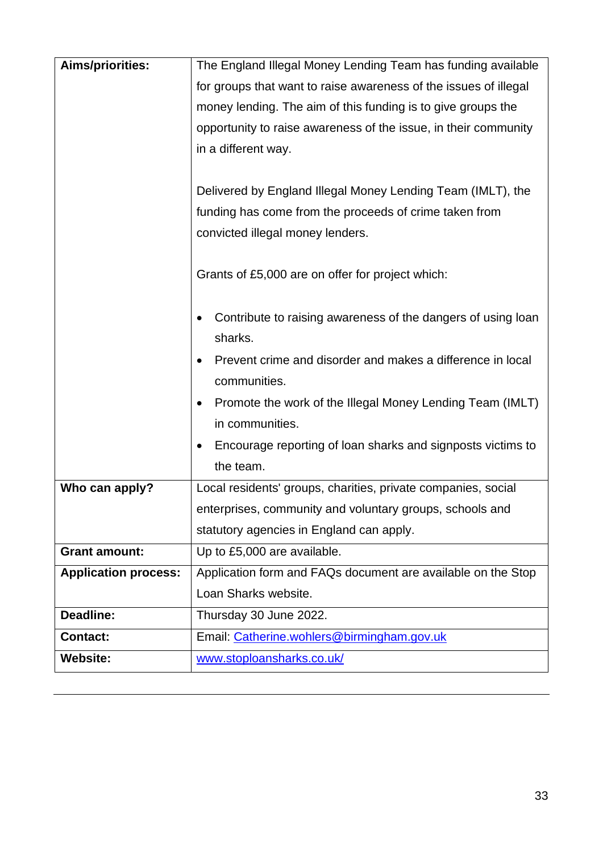| Aims/priorities:            | The England Illegal Money Lending Team has funding available     |
|-----------------------------|------------------------------------------------------------------|
|                             | for groups that want to raise awareness of the issues of illegal |
|                             | money lending. The aim of this funding is to give groups the     |
|                             | opportunity to raise awareness of the issue, in their community  |
|                             | in a different way.                                              |
|                             |                                                                  |
|                             | Delivered by England Illegal Money Lending Team (IMLT), the      |
|                             | funding has come from the proceeds of crime taken from           |
|                             | convicted illegal money lenders.                                 |
|                             |                                                                  |
|                             | Grants of £5,000 are on offer for project which:                 |
|                             |                                                                  |
|                             | Contribute to raising awareness of the dangers of using loan     |
|                             | sharks.                                                          |
|                             | Prevent crime and disorder and makes a difference in local       |
|                             | communities.                                                     |
|                             | Promote the work of the Illegal Money Lending Team (IMLT)        |
|                             | in communities.                                                  |
|                             | Encourage reporting of loan sharks and signposts victims to      |
|                             | the team.                                                        |
| Who can apply?              | Local residents' groups, charities, private companies, social    |
|                             | enterprises, community and voluntary groups, schools and         |
|                             | statutory agencies in England can apply.                         |
| <b>Grant amount:</b>        | Up to £5,000 are available.                                      |
| <b>Application process:</b> | Application form and FAQs document are available on the Stop     |
|                             | Loan Sharks website.                                             |
| Deadline:                   | Thursday 30 June 2022.                                           |
| <b>Contact:</b>             | Email: Catherine.wohlers@birmingham.gov.uk                       |
| <b>Website:</b>             | www.stoploansharks.co.uk/                                        |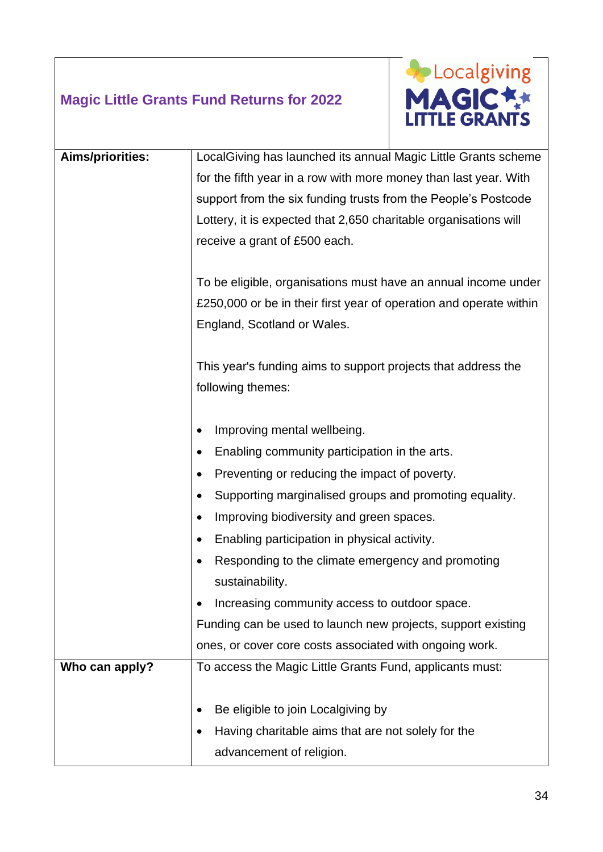#### **Magic Little Grants Fund Returns for 2022**



| Aims/priorities: | LocalGiving has launched its annual Magic Little Grants scheme     |
|------------------|--------------------------------------------------------------------|
|                  | for the fifth year in a row with more money than last year. With   |
|                  | support from the six funding trusts from the People's Postcode     |
|                  | Lottery, it is expected that 2,650 charitable organisations will   |
|                  | receive a grant of £500 each.                                      |
|                  |                                                                    |
|                  | To be eligible, organisations must have an annual income under     |
|                  | £250,000 or be in their first year of operation and operate within |
|                  | England, Scotland or Wales.                                        |
|                  |                                                                    |
|                  | This year's funding aims to support projects that address the      |
|                  | following themes:                                                  |
|                  |                                                                    |
|                  | Improving mental wellbeing.                                        |
|                  | Enabling community participation in the arts.                      |
|                  | Preventing or reducing the impact of poverty.                      |
|                  | Supporting marginalised groups and promoting equality.             |
|                  | Improving biodiversity and green spaces.                           |
|                  | Enabling participation in physical activity.                       |
|                  | Responding to the climate emergency and promoting                  |
|                  | sustainability.                                                    |
|                  | Increasing community access to outdoor space.                      |
|                  | Funding can be used to launch new projects, support existing       |
|                  | ones, or cover core costs associated with ongoing work.            |
| Who can apply?   | To access the Magic Little Grants Fund, applicants must:           |
|                  |                                                                    |
|                  | Be eligible to join Localgiving by                                 |
|                  | Having charitable aims that are not solely for the                 |
|                  | advancement of religion.                                           |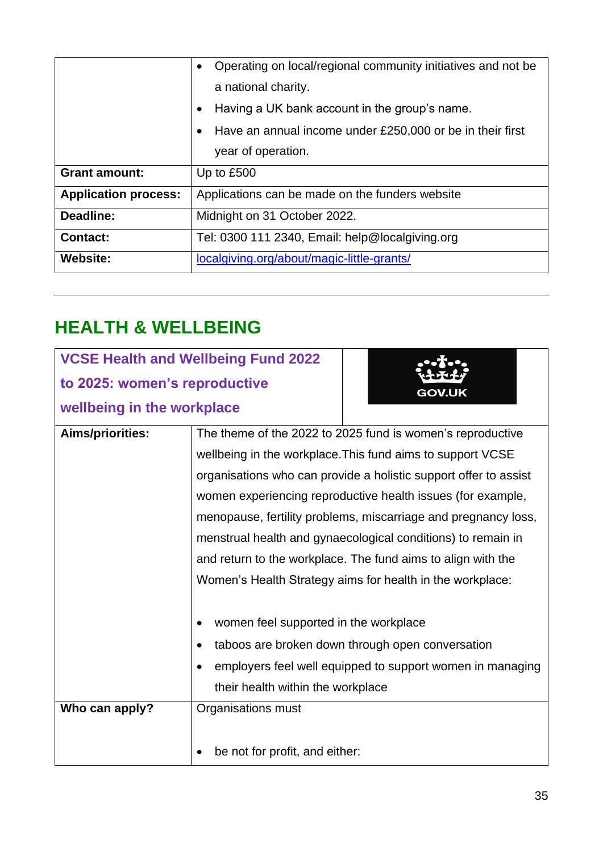|                             | Operating on local/regional community initiatives and not be<br>$\bullet$ |  |
|-----------------------------|---------------------------------------------------------------------------|--|
|                             | a national charity.                                                       |  |
|                             | Having a UK bank account in the group's name.<br>$\bullet$                |  |
|                             | Have an annual income under £250,000 or be in their first<br>$\bullet$    |  |
|                             | year of operation.                                                        |  |
| <b>Grant amount:</b>        | Up to £500                                                                |  |
| <b>Application process:</b> | Applications can be made on the funders website                           |  |
| Deadline:                   | Midnight on 31 October 2022.                                              |  |
| <b>Contact:</b>             | Tel: 0300 111 2340, Email: help@localgiving.org                           |  |
| <b>Website:</b>             | localgiving.org/about/magic-little-grants/                                |  |

### <span id="page-34-0"></span>**HEALTH & WELLBEING**

|                               | <b>VCSE Health and Wellbeing Fund 2022</b>                       |                                                            |  |
|-------------------------------|------------------------------------------------------------------|------------------------------------------------------------|--|
| to 2025: women's reproductive |                                                                  | <b>GOV.UK</b>                                              |  |
| wellbeing in the workplace    |                                                                  |                                                            |  |
| Aims/priorities:              |                                                                  | The theme of the 2022 to 2025 fund is women's reproductive |  |
|                               | wellbeing in the workplace. This fund aims to support VCSE       |                                                            |  |
|                               | organisations who can provide a holistic support offer to assist |                                                            |  |
|                               | women experiencing reproductive health issues (for example,      |                                                            |  |
|                               | menopause, fertility problems, miscarriage and pregnancy loss,   |                                                            |  |
|                               | menstrual health and gynaecological conditions) to remain in     |                                                            |  |
|                               | and return to the workplace. The fund aims to align with the     |                                                            |  |
|                               | Women's Health Strategy aims for health in the workplace:        |                                                            |  |
|                               |                                                                  |                                                            |  |
|                               | women feel supported in the workplace                            |                                                            |  |
|                               | taboos are broken down through open conversation                 |                                                            |  |
|                               | employers feel well equipped to support women in managing        |                                                            |  |
|                               | their health within the workplace                                |                                                            |  |
| Who can apply?                | Organisations must                                               |                                                            |  |
|                               |                                                                  |                                                            |  |
|                               | be not for profit, and either:                                   |                                                            |  |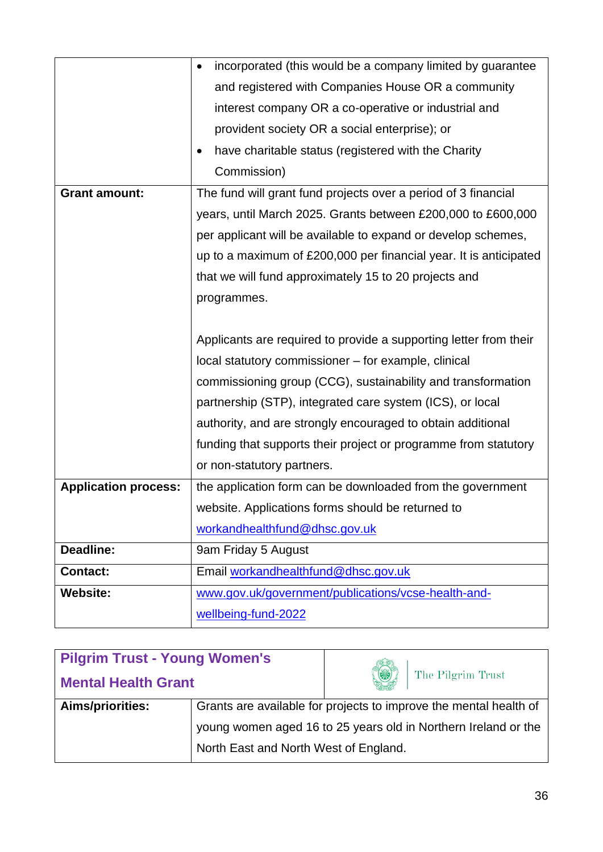|                             | incorporated (this would be a company limited by guarantee<br>$\bullet$ |  |  |
|-----------------------------|-------------------------------------------------------------------------|--|--|
|                             | and registered with Companies House OR a community                      |  |  |
|                             | interest company OR a co-operative or industrial and                    |  |  |
|                             | provident society OR a social enterprise); or                           |  |  |
|                             | have charitable status (registered with the Charity<br>$\bullet$        |  |  |
|                             | Commission)                                                             |  |  |
| <b>Grant amount:</b>        | The fund will grant fund projects over a period of 3 financial          |  |  |
|                             | years, until March 2025. Grants between £200,000 to £600,000            |  |  |
|                             | per applicant will be available to expand or develop schemes,           |  |  |
|                             | up to a maximum of £200,000 per financial year. It is anticipated       |  |  |
|                             | that we will fund approximately 15 to 20 projects and                   |  |  |
|                             | programmes.                                                             |  |  |
|                             |                                                                         |  |  |
|                             | Applicants are required to provide a supporting letter from their       |  |  |
|                             | local statutory commissioner - for example, clinical                    |  |  |
|                             | commissioning group (CCG), sustainability and transformation            |  |  |
|                             | partnership (STP), integrated care system (ICS), or local               |  |  |
|                             | authority, and are strongly encouraged to obtain additional             |  |  |
|                             | funding that supports their project or programme from statutory         |  |  |
|                             | or non-statutory partners.                                              |  |  |
| <b>Application process:</b> | the application form can be downloaded from the government              |  |  |
|                             | website. Applications forms should be returned to                       |  |  |
|                             | workandhealthfund@dhsc.gov.uk                                           |  |  |
| Deadline:                   | 9am Friday 5 August                                                     |  |  |
| <b>Contact:</b>             | Email workandhealthfund@dhsc.gov.uk                                     |  |  |
| <b>Website:</b>             | www.gov.uk/government/publications/vcse-health-and-                     |  |  |
|                             | wellbeing-fund-2022                                                     |  |  |
|                             |                                                                         |  |  |

| <b>Pilgrim Trust - Young Women's</b> |                                                                   |                        |  |
|--------------------------------------|-------------------------------------------------------------------|------------------------|--|
| <b>Mental Health Grant</b>           |                                                                   | ۱<br>The Pilgrim Trust |  |
| Aims/priorities:                     | Grants are available for projects to improve the mental health of |                        |  |
|                                      | young women aged 16 to 25 years old in Northern Ireland or the    |                        |  |
|                                      | North East and North West of England.                             |                        |  |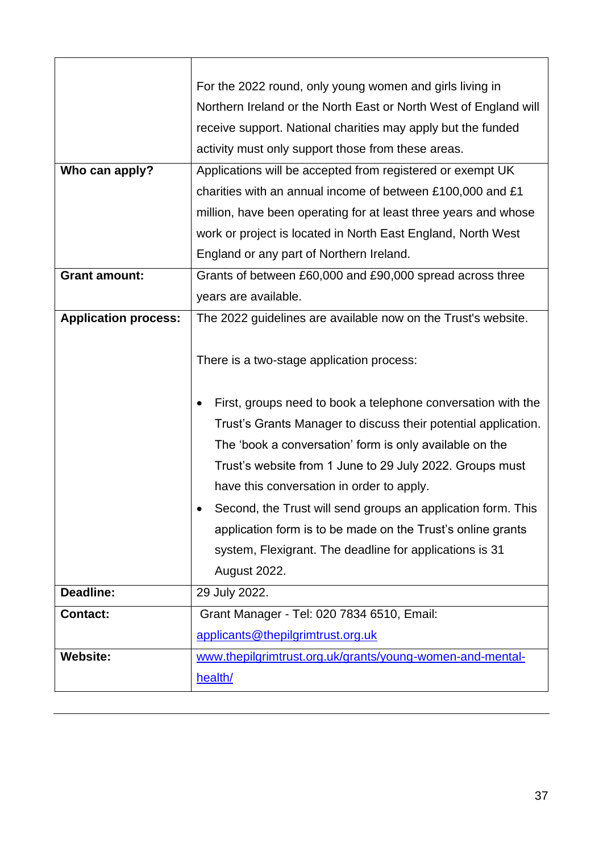|                             | For the 2022 round, only young women and girls living in                                                                                                                                                                                                                                           |  |  |
|-----------------------------|----------------------------------------------------------------------------------------------------------------------------------------------------------------------------------------------------------------------------------------------------------------------------------------------------|--|--|
|                             | Northern Ireland or the North East or North West of England will                                                                                                                                                                                                                                   |  |  |
|                             | receive support. National charities may apply but the funded                                                                                                                                                                                                                                       |  |  |
|                             | activity must only support those from these areas.                                                                                                                                                                                                                                                 |  |  |
| Who can apply?              | Applications will be accepted from registered or exempt UK                                                                                                                                                                                                                                         |  |  |
|                             | charities with an annual income of between £100,000 and £1                                                                                                                                                                                                                                         |  |  |
|                             | million, have been operating for at least three years and whose                                                                                                                                                                                                                                    |  |  |
|                             | work or project is located in North East England, North West                                                                                                                                                                                                                                       |  |  |
|                             | England or any part of Northern Ireland.                                                                                                                                                                                                                                                           |  |  |
| <b>Grant amount:</b>        | Grants of between £60,000 and £90,000 spread across three                                                                                                                                                                                                                                          |  |  |
|                             | years are available.                                                                                                                                                                                                                                                                               |  |  |
| <b>Application process:</b> | The 2022 guidelines are available now on the Trust's website.                                                                                                                                                                                                                                      |  |  |
|                             | There is a two-stage application process:<br>First, groups need to book a telephone conversation with the<br>Trust's Grants Manager to discuss their potential application.<br>The 'book a conversation' form is only available on the<br>Trust's website from 1 June to 29 July 2022. Groups must |  |  |
|                             | have this conversation in order to apply.                                                                                                                                                                                                                                                          |  |  |
|                             | Second, the Trust will send groups an application form. This<br>application form is to be made on the Trust's online grants<br>system, Flexigrant. The deadline for applications is 31<br>August 2022.                                                                                             |  |  |
| Deadline:                   | 29 July 2022.                                                                                                                                                                                                                                                                                      |  |  |
| <b>Contact:</b>             | Grant Manager - Tel: 020 7834 6510, Email:                                                                                                                                                                                                                                                         |  |  |
|                             | applicants@thepilgrimtrust.org.uk                                                                                                                                                                                                                                                                  |  |  |
| <b>Website:</b>             | www.thepilgrimtrust.org.uk/grants/young-women-and-mental-                                                                                                                                                                                                                                          |  |  |
|                             | health/                                                                                                                                                                                                                                                                                            |  |  |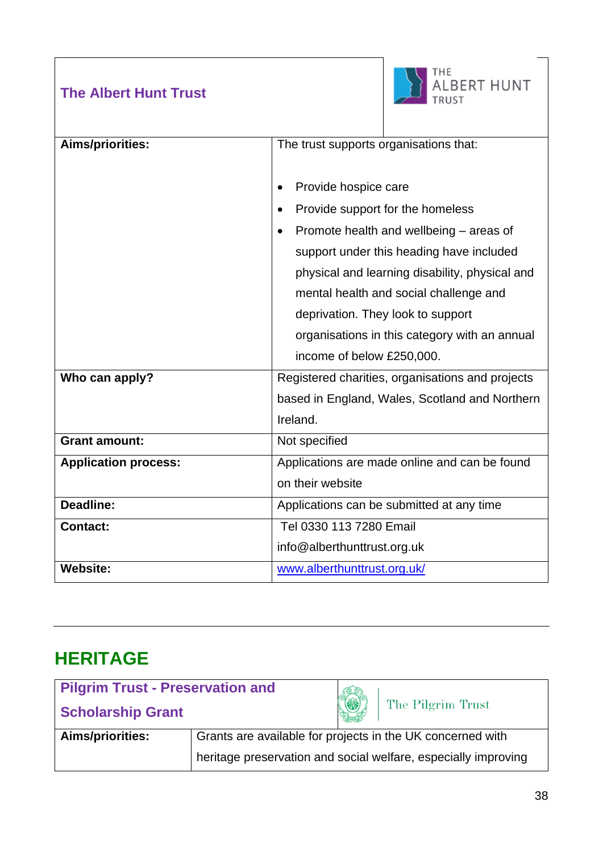#### **The Albert Hunt Trust**



 $\overline{\phantom{a}}$ 

| Aims/priorities:            | The trust supports organisations that:               |  |
|-----------------------------|------------------------------------------------------|--|
|                             | Provide hospice care                                 |  |
|                             | Provide support for the homeless<br>$\bullet$        |  |
|                             | Promote health and wellbeing – areas of<br>$\bullet$ |  |
|                             | support under this heading have included             |  |
|                             | physical and learning disability, physical and       |  |
|                             | mental health and social challenge and               |  |
|                             | deprivation. They look to support                    |  |
|                             | organisations in this category with an annual        |  |
|                             | income of below £250,000.                            |  |
| Who can apply?              | Registered charities, organisations and projects     |  |
|                             | based in England, Wales, Scotland and Northern       |  |
|                             | Ireland.                                             |  |
| <b>Grant amount:</b>        | Not specified                                        |  |
| <b>Application process:</b> | Applications are made online and can be found        |  |
|                             | on their website                                     |  |
| Deadline:                   | Applications can be submitted at any time            |  |
| <b>Contact:</b>             | Tel 0330 113 7280 Email                              |  |
|                             | info@alberthunttrust.org.uk                          |  |
| <b>Website:</b>             | www.alberthunttrust.org.uk/                          |  |

#### <span id="page-37-0"></span>**HERITAGE**

| <b>Pilgrim Trust - Preservation and</b> |                                                                |     |                   |
|-----------------------------------------|----------------------------------------------------------------|-----|-------------------|
| <b>Scholarship Grant</b>                |                                                                | (X) | The Pilgrim Trust |
| Aims/priorities:                        | Grants are available for projects in the UK concerned with     |     |                   |
|                                         | heritage preservation and social welfare, especially improving |     |                   |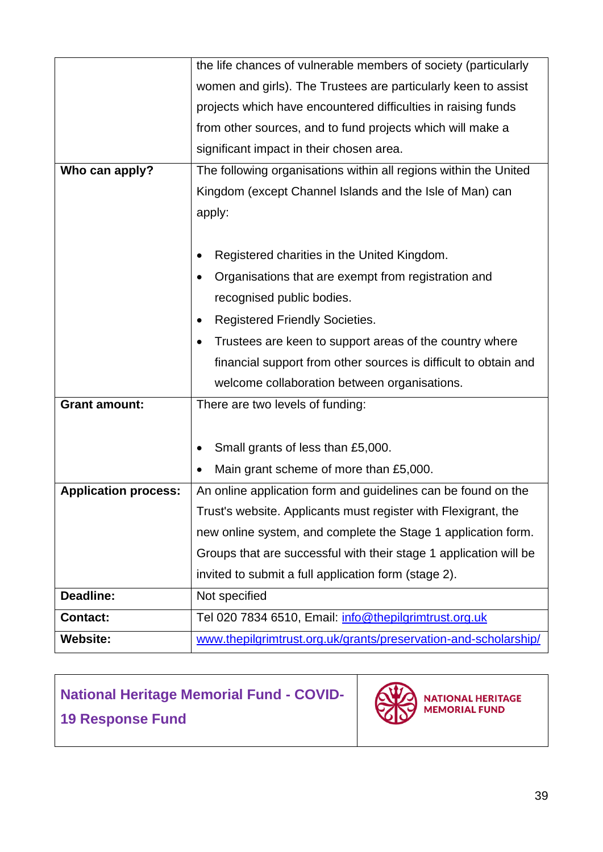|                             | the life chances of vulnerable members of society (particularly   |  |  |
|-----------------------------|-------------------------------------------------------------------|--|--|
|                             | women and girls). The Trustees are particularly keen to assist    |  |  |
|                             | projects which have encountered difficulties in raising funds     |  |  |
|                             | from other sources, and to fund projects which will make a        |  |  |
|                             | significant impact in their chosen area.                          |  |  |
| Who can apply?              | The following organisations within all regions within the United  |  |  |
|                             | Kingdom (except Channel Islands and the Isle of Man) can          |  |  |
|                             | apply:                                                            |  |  |
|                             |                                                                   |  |  |
|                             | Registered charities in the United Kingdom.                       |  |  |
|                             | Organisations that are exempt from registration and               |  |  |
|                             | recognised public bodies.                                         |  |  |
|                             | <b>Registered Friendly Societies.</b>                             |  |  |
|                             | Trustees are keen to support areas of the country where           |  |  |
|                             | financial support from other sources is difficult to obtain and   |  |  |
|                             | welcome collaboration between organisations.                      |  |  |
| <b>Grant amount:</b>        | There are two levels of funding:                                  |  |  |
|                             |                                                                   |  |  |
|                             | Small grants of less than £5,000.                                 |  |  |
|                             | Main grant scheme of more than £5,000.                            |  |  |
| <b>Application process:</b> | An online application form and guidelines can be found on the     |  |  |
|                             | Trust's website. Applicants must register with Flexigrant, the    |  |  |
|                             | new online system, and complete the Stage 1 application form.     |  |  |
|                             | Groups that are successful with their stage 1 application will be |  |  |
|                             | invited to submit a full application form (stage 2).              |  |  |
| Deadline:                   | Not specified                                                     |  |  |
| <b>Contact:</b>             | Tel 020 7834 6510, Email: info@thepilgrimtrust.org.uk             |  |  |
| <b>Website:</b>             | www.thepilgrimtrust.org.uk/grants/preservation-and-scholarship/   |  |  |

### **National Heritage Memorial Fund - COVID-19 Response Fund**



**NATIONAL HERITAGE<br>MEMORIAL FUND**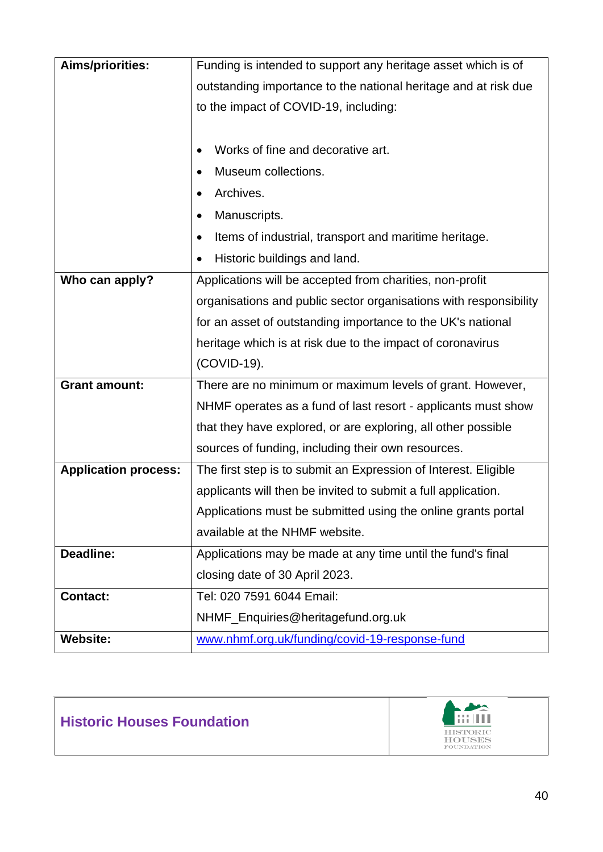| <b>Aims/priorities:</b>     | Funding is intended to support any heritage asset which is of     |  |  |
|-----------------------------|-------------------------------------------------------------------|--|--|
|                             | outstanding importance to the national heritage and at risk due   |  |  |
|                             | to the impact of COVID-19, including:                             |  |  |
|                             |                                                                   |  |  |
|                             | Works of fine and decorative art.                                 |  |  |
|                             | Museum collections.                                               |  |  |
|                             | Archives.                                                         |  |  |
|                             | Manuscripts.<br>$\bullet$                                         |  |  |
|                             | Items of industrial, transport and maritime heritage.             |  |  |
|                             | Historic buildings and land.                                      |  |  |
| Who can apply?              | Applications will be accepted from charities, non-profit          |  |  |
|                             | organisations and public sector organisations with responsibility |  |  |
|                             | for an asset of outstanding importance to the UK's national       |  |  |
|                             | heritage which is at risk due to the impact of coronavirus        |  |  |
|                             | (COVID-19).                                                       |  |  |
| <b>Grant amount:</b>        | There are no minimum or maximum levels of grant. However,         |  |  |
|                             | NHMF operates as a fund of last resort - applicants must show     |  |  |
|                             | that they have explored, or are exploring, all other possible     |  |  |
|                             | sources of funding, including their own resources.                |  |  |
| <b>Application process:</b> | The first step is to submit an Expression of Interest. Eligible   |  |  |
|                             | applicants will then be invited to submit a full application.     |  |  |
|                             | Applications must be submitted using the online grants portal     |  |  |
|                             | available at the NHMF website.                                    |  |  |
| Deadline:                   | Applications may be made at any time until the fund's final       |  |  |
|                             |                                                                   |  |  |
|                             | closing date of 30 April 2023.                                    |  |  |
| <b>Contact:</b>             | Tel: 020 7591 6044 Email:                                         |  |  |
|                             | NHMF_Enquiries@heritagefund.org.uk                                |  |  |



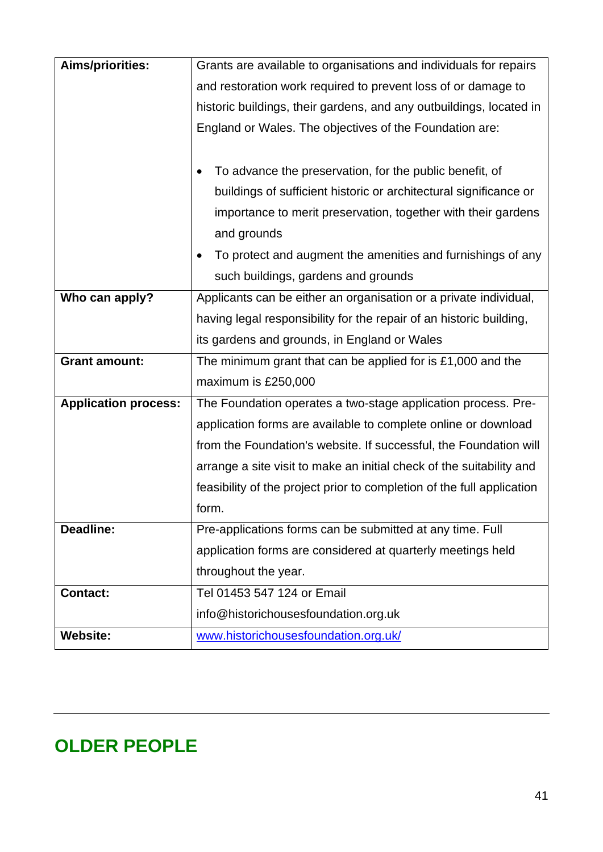| <b>Aims/priorities:</b>     | Grants are available to organisations and individuals for repairs      |  |  |
|-----------------------------|------------------------------------------------------------------------|--|--|
|                             | and restoration work required to prevent loss of or damage to          |  |  |
|                             | historic buildings, their gardens, and any outbuildings, located in    |  |  |
|                             | England or Wales. The objectives of the Foundation are:                |  |  |
|                             |                                                                        |  |  |
|                             | To advance the preservation, for the public benefit, of                |  |  |
|                             | buildings of sufficient historic or architectural significance or      |  |  |
|                             | importance to merit preservation, together with their gardens          |  |  |
|                             | and grounds                                                            |  |  |
|                             | To protect and augment the amenities and furnishings of any            |  |  |
|                             | such buildings, gardens and grounds                                    |  |  |
| Who can apply?              | Applicants can be either an organisation or a private individual,      |  |  |
|                             | having legal responsibility for the repair of an historic building,    |  |  |
|                             | its gardens and grounds, in England or Wales                           |  |  |
| <b>Grant amount:</b>        | The minimum grant that can be applied for is $£1,000$ and the          |  |  |
|                             | maximum is £250,000                                                    |  |  |
| <b>Application process:</b> | The Foundation operates a two-stage application process. Pre-          |  |  |
|                             | application forms are available to complete online or download         |  |  |
|                             | from the Foundation's website. If successful, the Foundation will      |  |  |
|                             | arrange a site visit to make an initial check of the suitability and   |  |  |
|                             | feasibility of the project prior to completion of the full application |  |  |
|                             | form.                                                                  |  |  |
| <b>Deadline:</b>            | Pre-applications forms can be submitted at any time. Full              |  |  |
|                             | application forms are considered at quarterly meetings held            |  |  |
|                             | throughout the year.                                                   |  |  |
| <b>Contact:</b>             | Tel 01453 547 124 or Email                                             |  |  |
|                             | info@historichousesfoundation.org.uk                                   |  |  |
| <b>Website:</b>             | www.historichousesfoundation.org.uk/                                   |  |  |

## <span id="page-40-0"></span>**OLDER PEOPLE**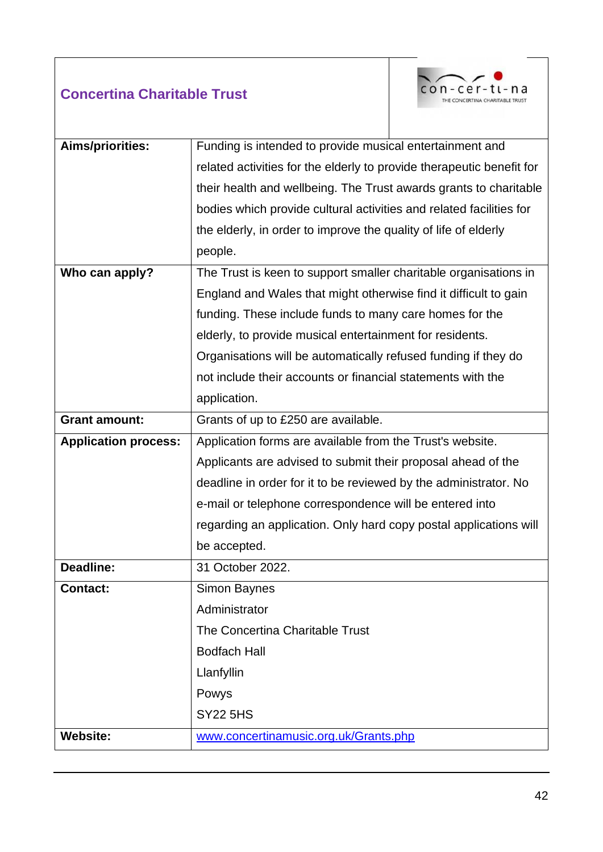#### **Concertina Charitable Trust**



| Aims/priorities:            | Funding is intended to provide musical entertainment and              |  |  |
|-----------------------------|-----------------------------------------------------------------------|--|--|
|                             | related activities for the elderly to provide therapeutic benefit for |  |  |
|                             | their health and wellbeing. The Trust awards grants to charitable     |  |  |
|                             | bodies which provide cultural activities and related facilities for   |  |  |
|                             | the elderly, in order to improve the quality of life of elderly       |  |  |
|                             | people.                                                               |  |  |
| Who can apply?              | The Trust is keen to support smaller charitable organisations in      |  |  |
|                             | England and Wales that might otherwise find it difficult to gain      |  |  |
|                             | funding. These include funds to many care homes for the               |  |  |
|                             | elderly, to provide musical entertainment for residents.              |  |  |
|                             | Organisations will be automatically refused funding if they do        |  |  |
|                             | not include their accounts or financial statements with the           |  |  |
|                             | application.                                                          |  |  |
| <b>Grant amount:</b>        | Grants of up to £250 are available.                                   |  |  |
|                             |                                                                       |  |  |
| <b>Application process:</b> | Application forms are available from the Trust's website.             |  |  |
|                             | Applicants are advised to submit their proposal ahead of the          |  |  |
|                             | deadline in order for it to be reviewed by the administrator. No      |  |  |
|                             | e-mail or telephone correspondence will be entered into               |  |  |
|                             | regarding an application. Only hard copy postal applications will     |  |  |
|                             | be accepted.                                                          |  |  |
| Deadline:                   | 31 October 2022.                                                      |  |  |
| <b>Contact:</b>             | <b>Simon Baynes</b>                                                   |  |  |
|                             | Administrator                                                         |  |  |
|                             | The Concertina Charitable Trust                                       |  |  |
|                             | <b>Bodfach Hall</b>                                                   |  |  |
|                             | Llanfyllin                                                            |  |  |
|                             | Powys                                                                 |  |  |
|                             | <b>SY22 5HS</b>                                                       |  |  |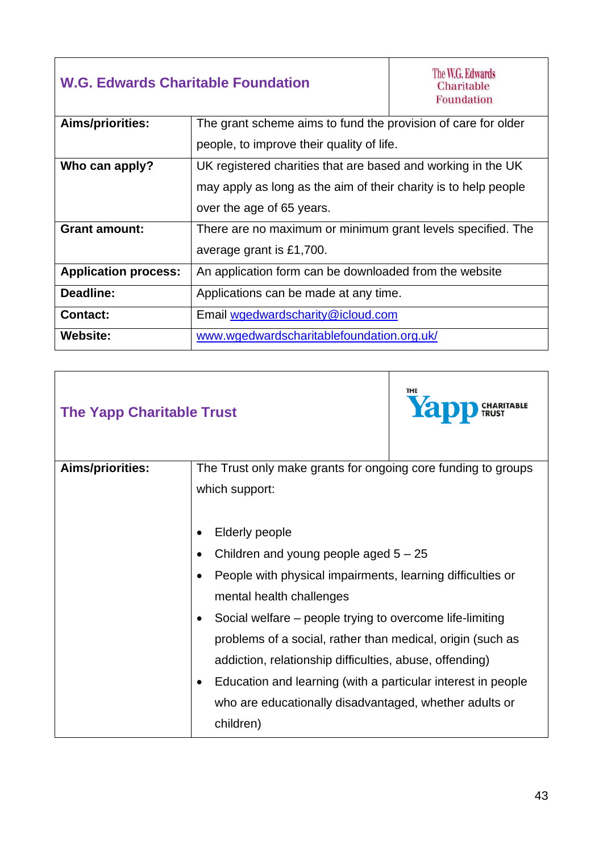| <b>W.G. Edwards Charitable Foundation</b> |                                                                 | The W.G. Edwards<br>Charitable<br><b>Foundation</b> |  |
|-------------------------------------------|-----------------------------------------------------------------|-----------------------------------------------------|--|
| <b>Aims/priorities:</b>                   | The grant scheme aims to fund the provision of care for older   |                                                     |  |
|                                           | people, to improve their quality of life.                       |                                                     |  |
| Who can apply?                            | UK registered charities that are based and working in the UK    |                                                     |  |
|                                           | may apply as long as the aim of their charity is to help people |                                                     |  |
|                                           | over the age of 65 years.                                       |                                                     |  |
| <b>Grant amount:</b>                      | There are no maximum or minimum grant levels specified. The     |                                                     |  |
|                                           | average grant is £1,700.                                        |                                                     |  |
| <b>Application process:</b>               | An application form can be downloaded from the website          |                                                     |  |
| Deadline:                                 | Applications can be made at any time.                           |                                                     |  |
| <b>Contact:</b>                           | Email wgedwardscharity@icloud.com                               |                                                     |  |
| <b>Website:</b>                           | www.wgedwardscharitablefoundation.org.uk/                       |                                                     |  |

 $\overline{1}$ 

| <b>The Yapp Charitable Trust</b> | THE<br>Yapp CHARITABLE                                                                                                                                                                                                                                                                                                                                                                                                                                                                 |
|----------------------------------|----------------------------------------------------------------------------------------------------------------------------------------------------------------------------------------------------------------------------------------------------------------------------------------------------------------------------------------------------------------------------------------------------------------------------------------------------------------------------------------|
| Aims/priorities:                 | The Trust only make grants for ongoing core funding to groups<br>which support:                                                                                                                                                                                                                                                                                                                                                                                                        |
|                                  | <b>Elderly people</b><br>Children and young people aged $5 - 25$<br>People with physical impairments, learning difficulties or<br>mental health challenges<br>Social welfare – people trying to overcome life-limiting<br>problems of a social, rather than medical, origin (such as<br>addiction, relationship difficulties, abuse, offending)<br>Education and learning (with a particular interest in people<br>who are educationally disadvantaged, whether adults or<br>children) |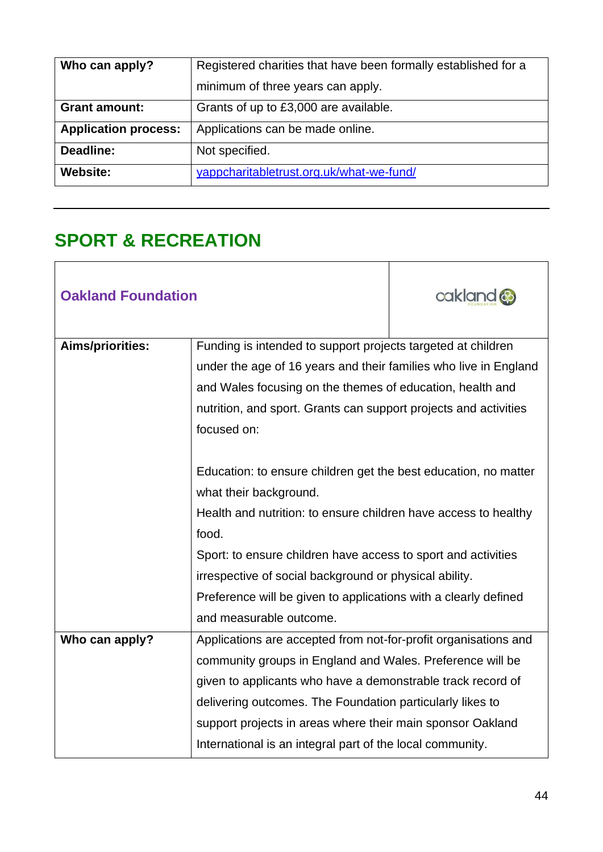| Who can apply?              | Registered charities that have been formally established for a |
|-----------------------------|----------------------------------------------------------------|
|                             | minimum of three years can apply.                              |
| <b>Grant amount:</b>        | Grants of up to £3,000 are available.                          |
| <b>Application process:</b> | Applications can be made online.                               |
| Deadline:                   | Not specified.                                                 |
| <b>Website:</b>             | yappcharitabletrust.org.uk/what-we-fund/                       |

#### <span id="page-43-0"></span>**SPORT & RECREATION**

| <b>Oakland Foundation</b> |                                                                  | cakland @ |
|---------------------------|------------------------------------------------------------------|-----------|
| Aims/priorities:          | Funding is intended to support projects targeted at children     |           |
|                           | under the age of 16 years and their families who live in England |           |
|                           | and Wales focusing on the themes of education, health and        |           |
|                           | nutrition, and sport. Grants can support projects and activities |           |
|                           | focused on:                                                      |           |
|                           |                                                                  |           |
|                           | Education: to ensure children get the best education, no matter  |           |
|                           | what their background.                                           |           |
|                           | Health and nutrition: to ensure children have access to healthy  |           |
|                           | food.                                                            |           |
|                           | Sport: to ensure children have access to sport and activities    |           |
|                           | irrespective of social background or physical ability.           |           |
|                           | Preference will be given to applications with a clearly defined  |           |
|                           | and measurable outcome.                                          |           |
| Who can apply?            | Applications are accepted from not-for-profit organisations and  |           |
|                           | community groups in England and Wales. Preference will be        |           |
|                           | given to applicants who have a demonstrable track record of      |           |
|                           | delivering outcomes. The Foundation particularly likes to        |           |
|                           | support projects in areas where their main sponsor Oakland       |           |
|                           | International is an integral part of the local community.        |           |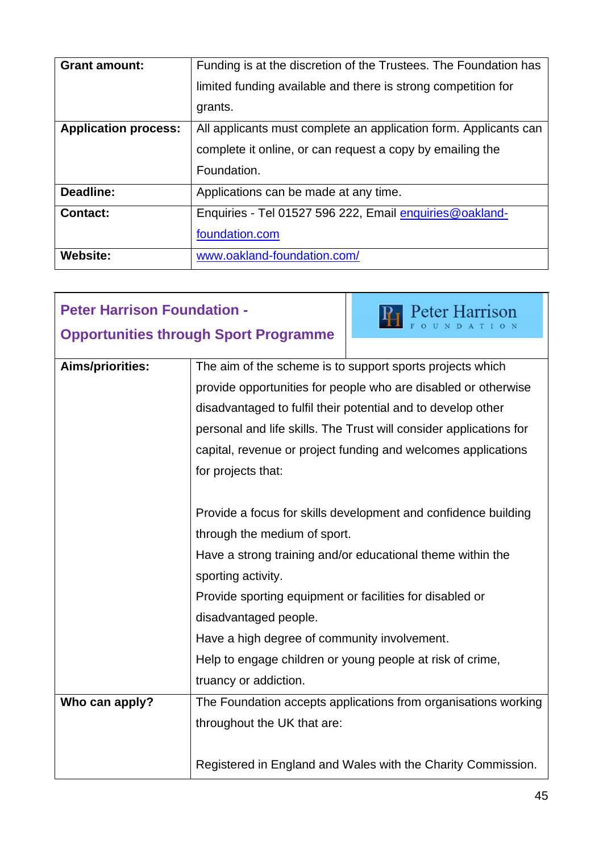| <b>Grant amount:</b>        | Funding is at the discretion of the Trustees. The Foundation has |
|-----------------------------|------------------------------------------------------------------|
|                             | limited funding available and there is strong competition for    |
|                             | grants.                                                          |
| <b>Application process:</b> | All applicants must complete an application form. Applicants can |
|                             | complete it online, or can request a copy by emailing the        |
|                             | Foundation.                                                      |
| Deadline:                   | Applications can be made at any time.                            |
| <b>Contact:</b>             | Enquiries - Tel 01527 596 222, Email enquiries@oakland-          |
|                             | foundation.com                                                   |
| <b>Website:</b>             | www.oakland-foundation.com/                                      |

| <b>Peter Harrison Foundation -</b>           |                                                          | <b>Peter Harrison</b>                                              |
|----------------------------------------------|----------------------------------------------------------|--------------------------------------------------------------------|
| <b>Opportunities through Sport Programme</b> |                                                          |                                                                    |
| <b>Aims/priorities:</b>                      |                                                          | The aim of the scheme is to support sports projects which          |
|                                              |                                                          | provide opportunities for people who are disabled or otherwise     |
|                                              |                                                          | disadvantaged to fulfil their potential and to develop other       |
|                                              |                                                          |                                                                    |
|                                              |                                                          | personal and life skills. The Trust will consider applications for |
|                                              |                                                          | capital, revenue or project funding and welcomes applications      |
|                                              | for projects that:                                       |                                                                    |
|                                              |                                                          |                                                                    |
|                                              |                                                          | Provide a focus for skills development and confidence building     |
|                                              | through the medium of sport.                             |                                                                    |
|                                              |                                                          | Have a strong training and/or educational theme within the         |
|                                              | sporting activity.                                       |                                                                    |
|                                              | Provide sporting equipment or facilities for disabled or |                                                                    |
|                                              | disadvantaged people.                                    |                                                                    |
|                                              | Have a high degree of community involvement.             |                                                                    |
|                                              |                                                          | Help to engage children or young people at risk of crime,          |
|                                              | truancy or addiction.                                    |                                                                    |
| Who can apply?                               |                                                          | The Foundation accepts applications from organisations working     |
|                                              | throughout the UK that are:                              |                                                                    |
|                                              |                                                          |                                                                    |
|                                              |                                                          | Registered in England and Wales with the Charity Commission.       |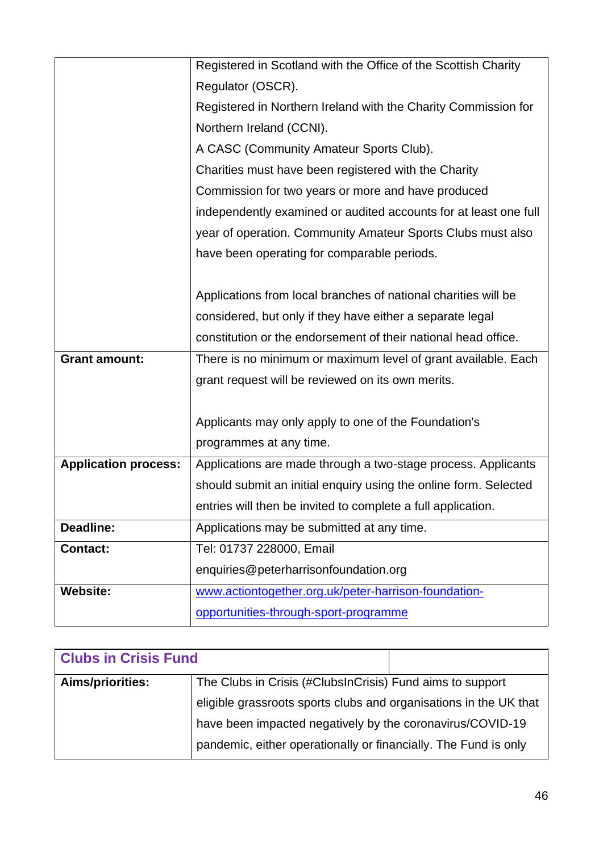|                             | Registered in Scotland with the Office of the Scottish Charity   |
|-----------------------------|------------------------------------------------------------------|
|                             | Regulator (OSCR).                                                |
|                             | Registered in Northern Ireland with the Charity Commission for   |
|                             | Northern Ireland (CCNI).                                         |
|                             | A CASC (Community Amateur Sports Club).                          |
|                             | Charities must have been registered with the Charity             |
|                             | Commission for two years or more and have produced               |
|                             | independently examined or audited accounts for at least one full |
|                             | year of operation. Community Amateur Sports Clubs must also      |
|                             | have been operating for comparable periods.                      |
|                             |                                                                  |
|                             | Applications from local branches of national charities will be   |
|                             | considered, but only if they have either a separate legal        |
|                             | constitution or the endorsement of their national head office.   |
| <b>Grant amount:</b>        | There is no minimum or maximum level of grant available. Each    |
|                             | grant request will be reviewed on its own merits.                |
|                             |                                                                  |
|                             | Applicants may only apply to one of the Foundation's             |
|                             | programmes at any time.                                          |
| <b>Application process:</b> | Applications are made through a two-stage process. Applicants    |
|                             | should submit an initial enquiry using the online form. Selected |
|                             | entries will then be invited to complete a full application.     |
| Deadline:                   | Applications may be submitted at any time.                       |
| Contact:                    | Tel: 01737 228000, Email                                         |
|                             | enquiries@peterharrisonfoundation.org                            |
| <b>Website:</b>             | www.actiontogether.org.uk/peter-harrison-foundation-             |
|                             | opportunities-through-sport-programme                            |

| <b>Clubs in Crisis Fund</b> |                                                                   |  |
|-----------------------------|-------------------------------------------------------------------|--|
| Aims/priorities:            | The Clubs in Crisis (#ClubsInCrisis) Fund aims to support         |  |
|                             | eligible grassroots sports clubs and organisations in the UK that |  |
|                             | have been impacted negatively by the coronavirus/COVID-19         |  |
|                             | pandemic, either operationally or financially. The Fund is only   |  |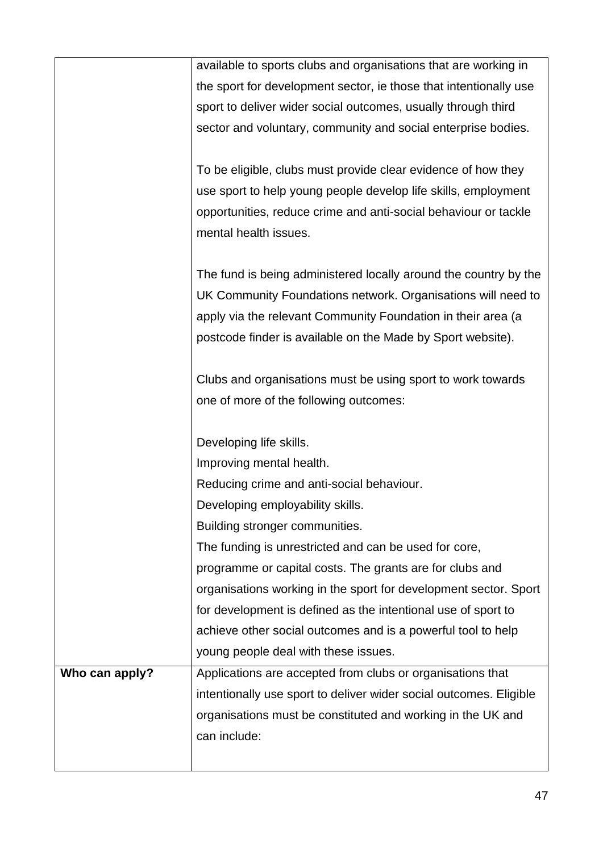|                | available to sports clubs and organisations that are working in    |
|----------------|--------------------------------------------------------------------|
|                | the sport for development sector, ie those that intentionally use  |
|                | sport to deliver wider social outcomes, usually through third      |
|                | sector and voluntary, community and social enterprise bodies.      |
|                |                                                                    |
|                | To be eligible, clubs must provide clear evidence of how they      |
|                | use sport to help young people develop life skills, employment     |
|                | opportunities, reduce crime and anti-social behaviour or tackle    |
|                | mental health issues.                                              |
|                |                                                                    |
|                | The fund is being administered locally around the country by the   |
|                | UK Community Foundations network. Organisations will need to       |
|                | apply via the relevant Community Foundation in their area (a       |
|                | postcode finder is available on the Made by Sport website).        |
|                |                                                                    |
|                | Clubs and organisations must be using sport to work towards        |
|                | one of more of the following outcomes:                             |
|                |                                                                    |
|                |                                                                    |
|                | Developing life skills.                                            |
|                | Improving mental health.                                           |
|                | Reducing crime and anti-social behaviour.                          |
|                | Developing employability skills                                    |
|                | Building stronger communities.                                     |
|                | The funding is unrestricted and can be used for core,              |
|                | programme or capital costs. The grants are for clubs and           |
|                | organisations working in the sport for development sector. Sport   |
|                | for development is defined as the intentional use of sport to      |
|                | achieve other social outcomes and is a powerful tool to help       |
|                | young people deal with these issues.                               |
| Who can apply? | Applications are accepted from clubs or organisations that         |
|                | intentionally use sport to deliver wider social outcomes. Eligible |
|                | organisations must be constituted and working in the UK and        |
|                | can include:                                                       |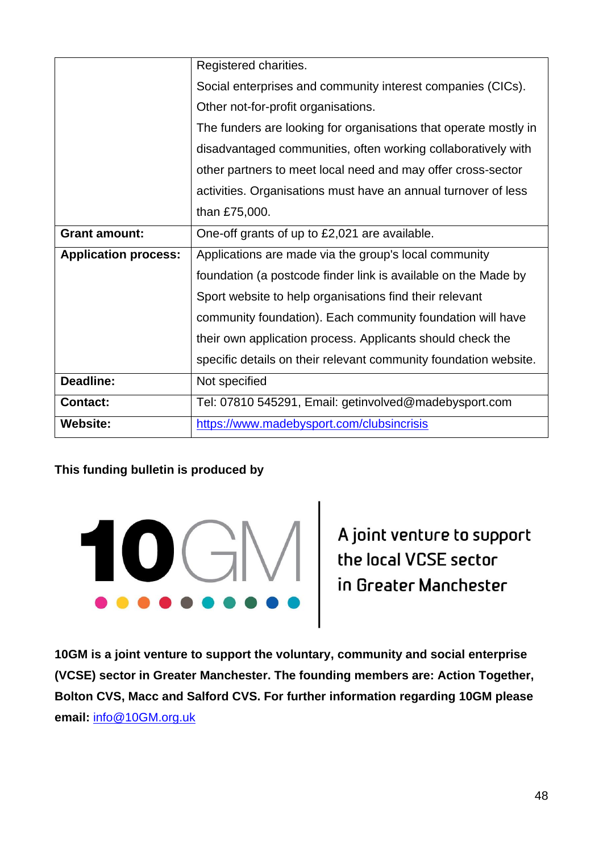|                             | Registered charities.                                            |  |
|-----------------------------|------------------------------------------------------------------|--|
|                             | Social enterprises and community interest companies (CICs).      |  |
|                             | Other not-for-profit organisations.                              |  |
|                             | The funders are looking for organisations that operate mostly in |  |
|                             | disadvantaged communities, often working collaboratively with    |  |
|                             | other partners to meet local need and may offer cross-sector     |  |
|                             | activities. Organisations must have an annual turnover of less   |  |
|                             | than £75,000.                                                    |  |
| <b>Grant amount:</b>        | One-off grants of up to £2,021 are available.                    |  |
| <b>Application process:</b> | Applications are made via the group's local community            |  |
|                             | foundation (a postcode finder link is available on the Made by   |  |
|                             | Sport website to help organisations find their relevant          |  |
|                             | community foundation). Each community foundation will have       |  |
|                             | their own application process. Applicants should check the       |  |
|                             | specific details on their relevant community foundation website. |  |
| Deadline:                   | Not specified                                                    |  |
| <b>Contact:</b>             | Tel: 07810 545291, Email: getinvolved@madebysport.com            |  |
| <b>Website:</b>             | https://www.madebysport.com/clubsincrisis                        |  |

#### **This funding bulletin is produced by**



**10GM is a joint venture to support the voluntary, community and social enterprise (VCSE) sector in Greater Manchester. The founding members are: Action Together, Bolton CVS, Macc and Salford CVS. For further information regarding 10GM please email:** [info@10GM.org.uk](mailto:info@10GM.org.uk)